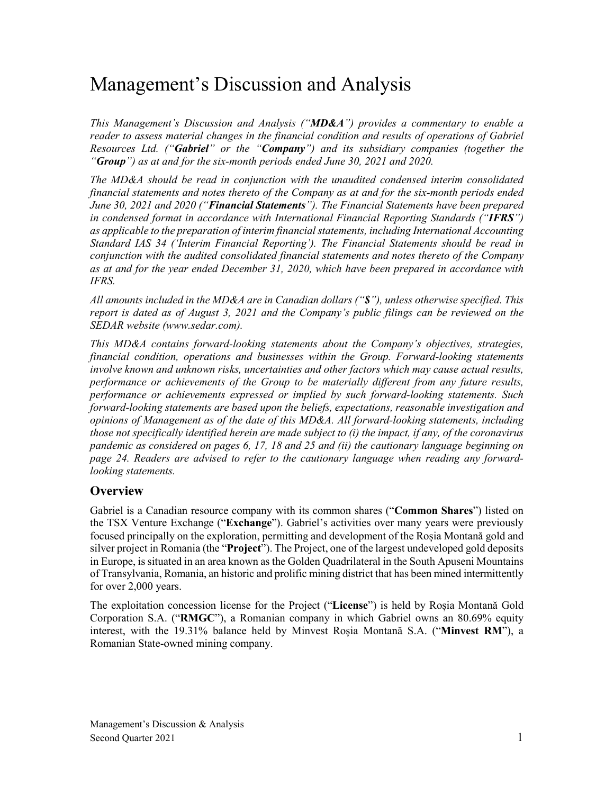# Management's Discussion and Analysis

*This Management's Discussion and Analysis ("MD&A") provides a commentary to enable a reader to assess material changes in the financial condition and results of operations of Gabriel Resources Ltd. ("Gabriel" or the "Company") and its subsidiary companies (together the "Group") as at and for the six-month periods ended June 30, 2021 and 2020.*

*The MD&A should be read in conjunction with the unaudited condensed interim consolidated financial statements and notes thereto of the Company as at and for the six-month periods ended June 30, 2021 and 2020 ("Financial Statements"). The Financial Statements have been prepared in condensed format in accordance with International Financial Reporting Standards ("IFRS") as applicable to the preparation of interim financial statements, including International Accounting Standard IAS 34 ('Interim Financial Reporting'). The Financial Statements should be read in conjunction with the audited consolidated financial statements and notes thereto of the Company as at and for the year ended December 31, 2020, which have been prepared in accordance with IFRS.*

*All amounts included in the MD&A are in Canadian dollars ("\$"), unless otherwise specified. This report is dated as of August 3, 2021 and the Company's public filings can be reviewed on the SEDAR website (www.sedar.com).*

*This MD&A contains forward-looking statements about the Company's objectives, strategies, financial condition, operations and businesses within the Group. Forward-looking statements involve known and unknown risks, uncertainties and other factors which may cause actual results, performance or achievements of the Group to be materially different from any future results, performance or achievements expressed or implied by such forward-looking statements. Such forward-looking statements are based upon the beliefs, expectations, reasonable investigation and opinions of Management as of the date of this MD&A. All forward-looking statements, including those not specifically identified herein are made subject to (i) the impact, if any, of the coronavirus pandemic as considered on pages 6, 17, 18 and 25 and (ii) the cautionary language beginning on page 24. Readers are advised to refer to the cautionary language when reading any forwardlooking statements.*

# **Overview**

Gabriel is a Canadian resource company with its common shares ("**Common Shares**") listed on the TSX Venture Exchange ("**Exchange**"). Gabriel's activities over many years were previously focused principally on the exploration, permitting and development of the Roșia Montană gold and silver project in Romania (the "**Project**"). The Project, one of the largest undeveloped gold deposits in Europe, is situated in an area known as the Golden Quadrilateral in the South Apuseni Mountains of Transylvania, Romania, an historic and prolific mining district that has been mined intermittently for over 2,000 years.

The exploitation concession license for the Project ("**License**") is held by Roșia Montană Gold Corporation S.A. ("**RMGC**"), a Romanian company in which Gabriel owns an 80.69% equity interest, with the 19.31% balance held by Minvest Roșia Montană S.A. ("**Minvest RM**"), a Romanian State-owned mining company.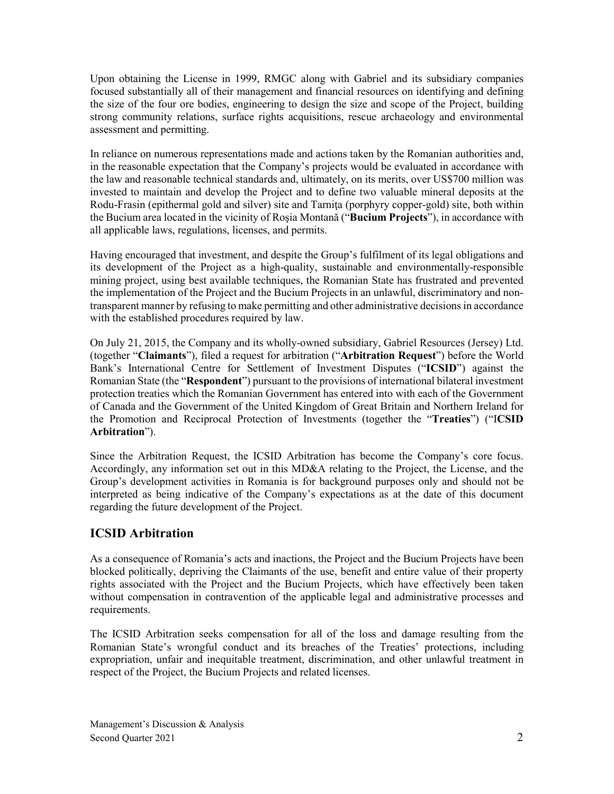Upon obtaining the License in 1999, RMGC along with Gabriel and its subsidiary companies focused substantially all of their management and financial resources on identifying and defining the size of the four ore bodies, engineering to design the size and scope of the Project, building strong community relations, surface rights acquisitions, rescue archaeology and environmental assessment and permitting.

In reliance on numerous representations made and actions taken by the Romanian authorities and, in the reasonable expectation that the Company's projects would be evaluated in accordance with the law and reasonable technical standards and, ultimately, on its merits, over US\$700 million was invested to maintain and develop the Project and to define two valuable mineral deposits at the Rodu-Frasin (epithermal gold and silver) site and Tarniţa (porphyry copper-gold) site, both within the Bucium area located in the vicinity of Roşia Montană ("**Bucium Projects**"), in accordance with all applicable laws, regulations, licenses, and permits.

Having encouraged that investment, and despite the Group's fulfilment of its legal obligations and its development of the Project as a high-quality, sustainable and environmentally-responsible mining project, using best available techniques, the Romanian State has frustrated and prevented the implementation of the Project and the Bucium Projects in an unlawful, discriminatory and nontransparent manner by refusing to make permitting and other administrative decisions in accordance with the established procedures required by law.

On July 21, 2015, the Company and its wholly-owned subsidiary, Gabriel Resources (Jersey) Ltd. (together "**Claimants**"), filed a request for arbitration ("**Arbitration Request**") before the World Bank's International Centre for Settlement of Investment Disputes ("**ICSID**") against the Romanian State (the "**Respondent**") pursuant to the provisions of international bilateral investment protection treaties which the Romanian Government has entered into with each of the Government of Canada and the Government of the United Kingdom of Great Britain and Northern Ireland for the Promotion and Reciprocal Protection of Investments (together the "**Treaties**") ("I**CSID Arbitration**").

Since the Arbitration Request, the ICSID Arbitration has become the Company's core focus. Accordingly, any information set out in this MD&A relating to the Project, the License, and the Group's development activities in Romania is for background purposes only and should not be interpreted as being indicative of the Company's expectations as at the date of this document regarding the future development of the Project.

# **ICSID Arbitration**

As a consequence of Romania's acts and inactions, the Project and the Bucium Projects have been blocked politically, depriving the Claimants of the use, benefit and entire value of their property rights associated with the Project and the Bucium Projects, which have effectively been taken without compensation in contravention of the applicable legal and administrative processes and requirements.

The ICSID Arbitration seeks compensation for all of the loss and damage resulting from the Romanian State's wrongful conduct and its breaches of the Treaties' protections, including expropriation, unfair and inequitable treatment, discrimination, and other unlawful treatment in respect of the Project, the Bucium Projects and related licenses.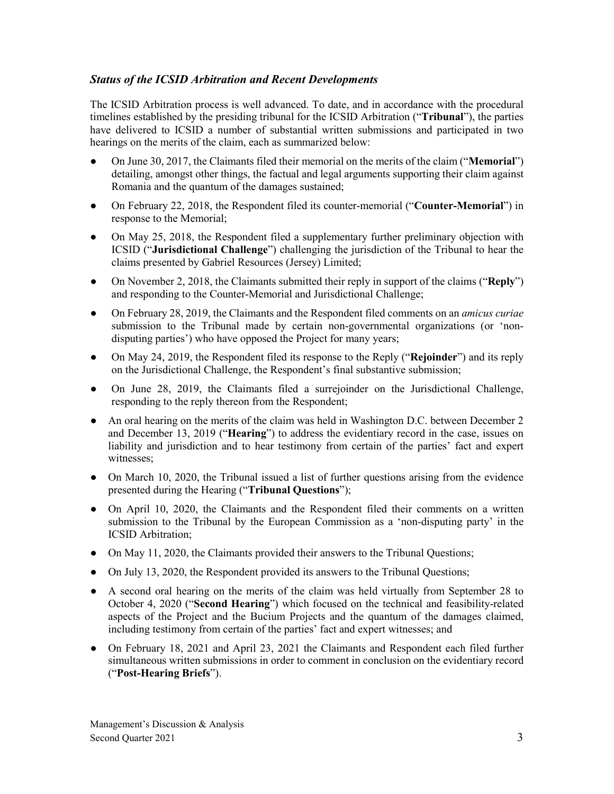# *Status of the ICSID Arbitration and Recent Developments*

The ICSID Arbitration process is well advanced. To date, and in accordance with the procedural timelines established by the presiding tribunal for the ICSID Arbitration ("**Tribunal**"), the parties have delivered to ICSID a number of substantial written submissions and participated in two hearings on the merits of the claim, each as summarized below:

- On June 30, 2017, the Claimants filed their memorial on the merits of the claim ("**Memorial**") detailing, amongst other things, the factual and legal arguments supporting their claim against Romania and the quantum of the damages sustained;
- On February 22, 2018, the Respondent filed its counter-memorial ("**Counter-Memorial**") in response to the Memorial;
- On May 25, 2018, the Respondent filed a supplementary further preliminary objection with ICSID ("**Jurisdictional Challenge**") challenging the jurisdiction of the Tribunal to hear the claims presented by Gabriel Resources (Jersey) Limited;
- On November 2, 2018, the Claimants submitted their reply in support of the claims ("**Reply**") and responding to the Counter-Memorial and Jurisdictional Challenge;
- On February 28, 2019, the Claimants and the Respondent filed comments on an *amicus curiae* submission to the Tribunal made by certain non-governmental organizations (or 'nondisputing parties') who have opposed the Project for many years;
- On May 24, 2019, the Respondent filed its response to the Reply ("**Rejoinder**") and its reply on the Jurisdictional Challenge, the Respondent's final substantive submission;
- On June 28, 2019, the Claimants filed a surrejoinder on the Jurisdictional Challenge, responding to the reply thereon from the Respondent;
- An oral hearing on the merits of the claim was held in Washington D.C. between December 2 and December 13, 2019 ("**Hearing**") to address the evidentiary record in the case, issues on liability and jurisdiction and to hear testimony from certain of the parties' fact and expert witnesses;
- On March 10, 2020, the Tribunal issued a list of further questions arising from the evidence presented during the Hearing ("**Tribunal Questions**");
- On April 10, 2020, the Claimants and the Respondent filed their comments on a written submission to the Tribunal by the European Commission as a 'non-disputing party' in the ICSID Arbitration;
- On May 11, 2020, the Claimants provided their answers to the Tribunal Questions;
- On July 13, 2020, the Respondent provided its answers to the Tribunal Questions;
- A second oral hearing on the merits of the claim was held virtually from September 28 to October 4, 2020 ("**Second Hearing**") which focused on the technical and feasibility-related aspects of the Project and the Bucium Projects and the quantum of the damages claimed, including testimony from certain of the parties' fact and expert witnesses; and
- On February 18, 2021 and April 23, 2021 the Claimants and Respondent each filed further simultaneous written submissions in order to comment in conclusion on the evidentiary record ("**Post-Hearing Briefs**").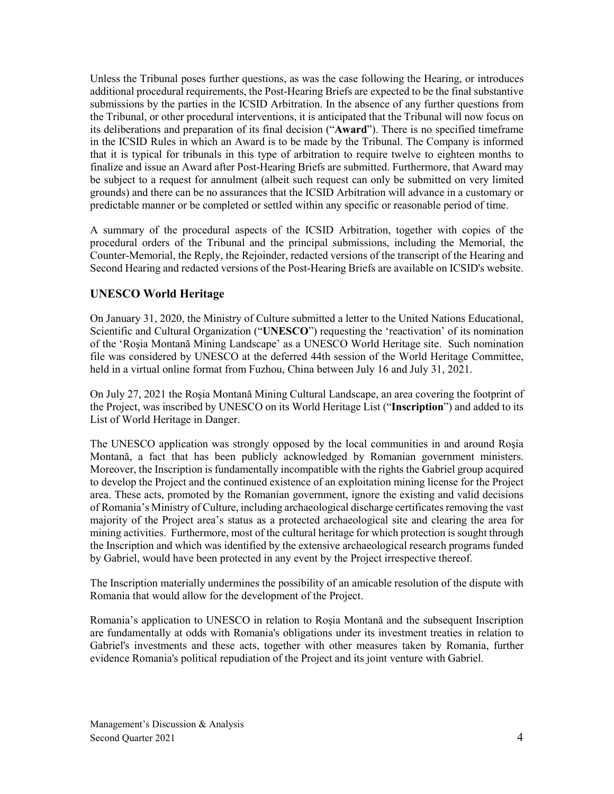Unless the Tribunal poses further questions, as was the case following the Hearing, or introduces additional procedural requirements, the Post-Hearing Briefs are expected to be the final substantive submissions by the parties in the ICSID Arbitration. In the absence of any further questions from the Tribunal, or other procedural interventions, it is anticipated that the Tribunal will now focus on its deliberations and preparation of its final decision ("**Award**"). There is no specified timeframe in the ICSID Rules in which an Award is to be made by the Tribunal. The Company is informed that it is typical for tribunals in this type of arbitration to require twelve to eighteen months to finalize and issue an Award after Post-Hearing Briefs are submitted. Furthermore, that Award may be subject to a request for annulment (albeit such request can only be submitted on very limited grounds) and there can be no assurances that the ICSID Arbitration will advance in a customary or predictable manner or be completed or settled within any specific or reasonable period of time.

A summary of the procedural aspects of the ICSID Arbitration, together with copies of the procedural orders of the Tribunal and the principal submissions, including the Memorial, the Counter-Memorial, the Reply, the Rejoinder, redacted versions of the transcript of the Hearing and Second Hearing and redacted versions of the Post-Hearing Briefs are available on ICSID's website.

# **UNESCO World Heritage**

On January 31, 2020, the Ministry of Culture submitted a letter to the United Nations Educational, Scientific and Cultural Organization ("**UNESCO**") requesting the 'reactivation' of its nomination of the 'Roşia Montană Mining Landscape' as a UNESCO World Heritage site. Such nomination file was considered by UNESCO at the deferred 44th session of the World Heritage Committee, held in a virtual online format from Fuzhou, China between July 16 and July 31, 2021.

On July 27, 2021 the Roşia Montană Mining Cultural Landscape, an area covering the footprint of the Project, was inscribed by UNESCO on its World Heritage List ("**Inscription**") and added to its List of World Heritage in Danger.

The UNESCO application was strongly opposed by the local communities in and around Roşia Montană, a fact that has been publicly acknowledged by Romanian government ministers. Moreover, the Inscription is fundamentally incompatible with the rights the Gabriel group acquired to develop the Project and the continued existence of an exploitation mining license for the Project area. These acts, promoted by the Romanian government, ignore the existing and valid decisions of Romania's Ministry of Culture, including archaeological discharge certificates removing the vast majority of the Project area's status as a protected archaeological site and clearing the area for mining activities. Furthermore, most of the cultural heritage for which protection is sought through the Inscription and which was identified by the extensive archaeological research programs funded by Gabriel, would have been protected in any event by the Project irrespective thereof.

The Inscription materially undermines the possibility of an amicable resolution of the dispute with Romania that would allow for the development of the Project.

Romania's application to UNESCO in relation to Roşia Montană and the subsequent Inscription are fundamentally at odds with Romania's obligations under its investment treaties in relation to Gabriel's investments and these acts, together with other measures taken by Romania, further evidence Romania's political repudiation of the Project and its joint venture with Gabriel.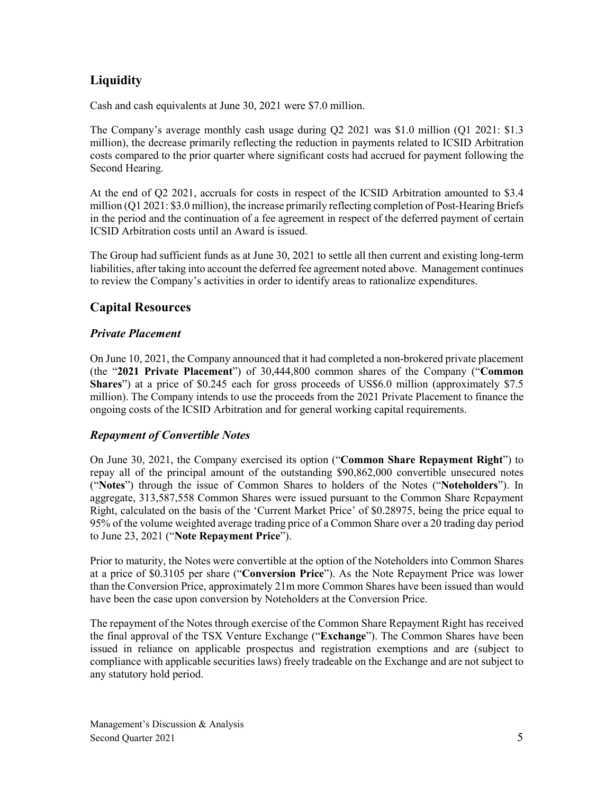# **Liquidity**

Cash and cash equivalents at June 30, 2021 were \$7.0 million.

The Company's average monthly cash usage during Q2 2021 was \$1.0 million (Q1 2021: \$1.3 million), the decrease primarily reflecting the reduction in payments related to ICSID Arbitration costs compared to the prior quarter where significant costs had accrued for payment following the Second Hearing.

At the end of Q2 2021, accruals for costs in respect of the ICSID Arbitration amounted to \$3.4 million (Q1 2021: \$3.0 million), the increase primarily reflecting completion of Post-Hearing Briefs in the period and the continuation of a fee agreement in respect of the deferred payment of certain ICSID Arbitration costs until an Award is issued.

The Group had sufficient funds as at June 30, 2021 to settle all then current and existing long-term liabilities, after taking into account the deferred fee agreement noted above. Management continues to review the Company's activities in order to identify areas to rationalize expenditures.

# **Capital Resources**

# *Private Placement*

On June 10, 2021, the Company announced that it had completed a non-brokered private placement (the "**2021 Private Placement**") of 30,444,800 common shares of the Company ("**Common Shares**") at a price of \$0.245 each for gross proceeds of US\$6.0 million (approximately \$7.5 million). The Company intends to use the proceeds from the 2021 Private Placement to finance the ongoing costs of the ICSID Arbitration and for general working capital requirements.

### *Repayment of Convertible Notes*

On June 30, 2021, the Company exercised its option ("**Common Share Repayment Right**") to repay all of the principal amount of the outstanding \$90,862,000 convertible unsecured notes ("**Notes**") through the issue of Common Shares to holders of the Notes ("**Noteholders**"). In aggregate, 313,587,558 Common Shares were issued pursuant to the Common Share Repayment Right, calculated on the basis of the 'Current Market Price' of \$0.28975, being the price equal to 95% of the volume weighted average trading price of a Common Share over a 20 trading day period to June 23, 2021 ("**Note Repayment Price**").

Prior to maturity, the Notes were convertible at the option of the Noteholders into Common Shares at a price of \$0.3105 per share ("**Conversion Price**"). As the Note Repayment Price was lower than the Conversion Price, approximately 21m more Common Shares have been issued than would have been the case upon conversion by Noteholders at the Conversion Price.

The repayment of the Notes through exercise of the Common Share Repayment Right has received the final approval of the TSX Venture Exchange ("**Exchange**"). The Common Shares have been issued in reliance on applicable prospectus and registration exemptions and are (subject to compliance with applicable securities laws) freely tradeable on the Exchange and are not subject to any statutory hold period.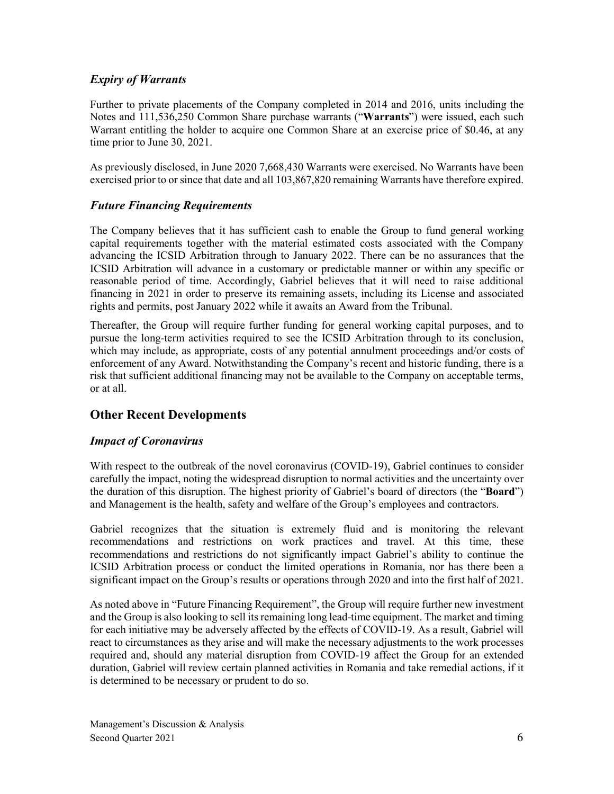# *Expiry of Warrants*

Further to private placements of the Company completed in 2014 and 2016, units including the Notes and 111,536,250 Common Share purchase warrants ("**Warrants**") were issued, each such Warrant entitling the holder to acquire one Common Share at an exercise price of \$0.46, at any time prior to June 30, 2021.

As previously disclosed, in June 2020 7,668,430 Warrants were exercised. No Warrants have been exercised prior to or since that date and all 103,867,820 remaining Warrants have therefore expired.

# *Future Financing Requirements*

The Company believes that it has sufficient cash to enable the Group to fund general working capital requirements together with the material estimated costs associated with the Company advancing the ICSID Arbitration through to January 2022. There can be no assurances that the ICSID Arbitration will advance in a customary or predictable manner or within any specific or reasonable period of time. Accordingly, Gabriel believes that it will need to raise additional financing in 2021 in order to preserve its remaining assets, including its License and associated rights and permits, post January 2022 while it awaits an Award from the Tribunal.

Thereafter, the Group will require further funding for general working capital purposes, and to pursue the long-term activities required to see the ICSID Arbitration through to its conclusion, which may include, as appropriate, costs of any potential annulment proceedings and/or costs of enforcement of any Award. Notwithstanding the Company's recent and historic funding, there is a risk that sufficient additional financing may not be available to the Company on acceptable terms, or at all.

# **Other Recent Developments**

# *Impact of Coronavirus*

With respect to the outbreak of the novel coronavirus (COVID-19), Gabriel continues to consider carefully the impact, noting the widespread disruption to normal activities and the uncertainty over the duration of this disruption. The highest priority of Gabriel's board of directors (the "**Board**") and Management is the health, safety and welfare of the Group's employees and contractors.

Gabriel recognizes that the situation is extremely fluid and is monitoring the relevant recommendations and restrictions on work practices and travel. At this time, these recommendations and restrictions do not significantly impact Gabriel's ability to continue the ICSID Arbitration process or conduct the limited operations in Romania, nor has there been a significant impact on the Group's results or operations through 2020 and into the first half of 2021.

As noted above in "Future Financing Requirement", the Group will require further new investment and the Group is also looking to sell its remaining long lead-time equipment. The market and timing for each initiative may be adversely affected by the effects of COVID-19. As a result, Gabriel will react to circumstances as they arise and will make the necessary adjustments to the work processes required and, should any material disruption from COVID-19 affect the Group for an extended duration, Gabriel will review certain planned activities in Romania and take remedial actions, if it is determined to be necessary or prudent to do so.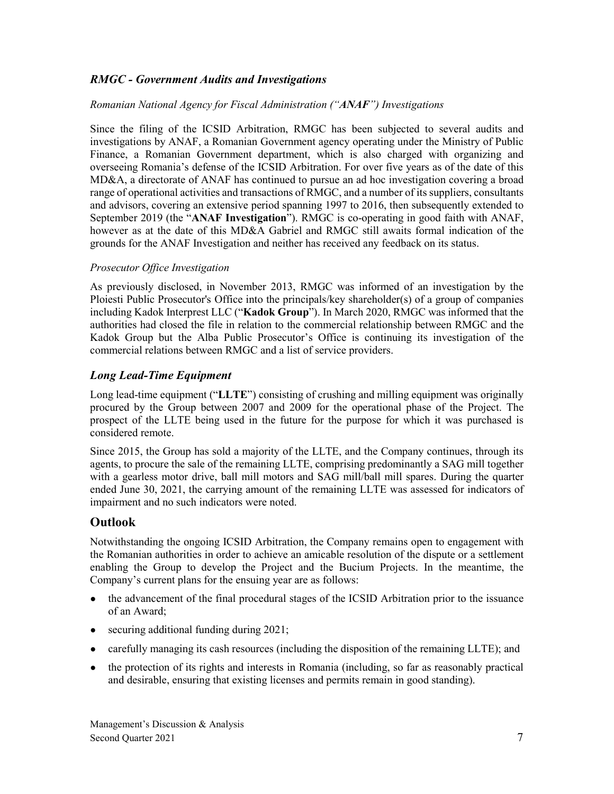# *RMGC - Government Audits and Investigations*

#### *Romanian National Agency for Fiscal Administration ("ANAF") Investigations*

Since the filing of the ICSID Arbitration, RMGC has been subjected to several audits and investigations by ANAF, a Romanian Government agency operating under the Ministry of Public Finance, a Romanian Government department, which is also charged with organizing and overseeing Romania's defense of the ICSID Arbitration. For over five years as of the date of this MD&A, a directorate of ANAF has continued to pursue an ad hoc investigation covering a broad range of operational activities and transactions of RMGC, and a number of its suppliers, consultants and advisors, covering an extensive period spanning 1997 to 2016, then subsequently extended to September 2019 (the "**ANAF Investigation**"). RMGC is co-operating in good faith with ANAF, however as at the date of this MD&A Gabriel and RMGC still awaits formal indication of the grounds for the ANAF Investigation and neither has received any feedback on its status.

#### *Prosecutor Office Investigation*

As previously disclosed, in November 2013, RMGC was informed of an investigation by the Ploiesti Public Prosecutor's Office into the principals/key shareholder(s) of a group of companies including Kadok Interprest LLC ("**Kadok Group**"). In March 2020, RMGC was informed that the authorities had closed the file in relation to the commercial relationship between RMGC and the Kadok Group but the Alba Public Prosecutor's Office is continuing its investigation of the commercial relations between RMGC and a list of service providers.

### *Long Lead-Time Equipment*

Long lead-time equipment ("**LLTE**") consisting of crushing and milling equipment was originally procured by the Group between 2007 and 2009 for the operational phase of the Project. The prospect of the LLTE being used in the future for the purpose for which it was purchased is considered remote.

Since 2015, the Group has sold a majority of the LLTE, and the Company continues, through its agents, to procure the sale of the remaining LLTE, comprising predominantly a SAG mill together with a gearless motor drive, ball mill motors and SAG mill/ball mill spares. During the quarter ended June 30, 2021, the carrying amount of the remaining LLTE was assessed for indicators of impairment and no such indicators were noted.

# **Outlook**

Notwithstanding the ongoing ICSID Arbitration, the Company remains open to engagement with the Romanian authorities in order to achieve an amicable resolution of the dispute or a settlement enabling the Group to develop the Project and the Bucium Projects. In the meantime, the Company's current plans for the ensuing year are as follows:

- the advancement of the final procedural stages of the ICSID Arbitration prior to the issuance of an Award;
- securing additional funding during 2021;
- carefully managing its cash resources (including the disposition of the remaining LLTE); and
- the protection of its rights and interests in Romania (including, so far as reasonably practical and desirable, ensuring that existing licenses and permits remain in good standing).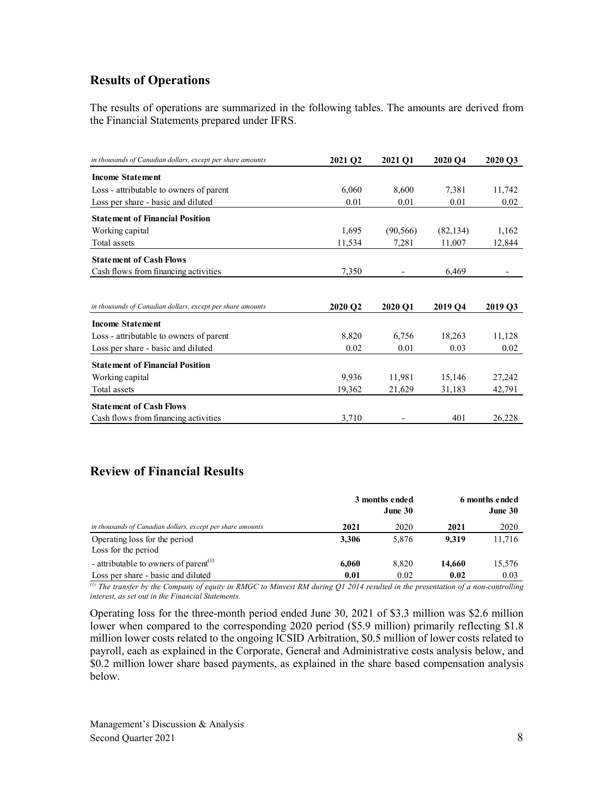# **Results of Operations**

The results of operations are summarized in the following tables. The amounts are derived from the Financial Statements prepared under IFRS.

| in thousands of Canadian dollars, except per share amounts | 2021 Q2 | 2021 O1   | 2020 O4   | 2020 O3 |
|------------------------------------------------------------|---------|-----------|-----------|---------|
| <b>Income Statement</b>                                    |         |           |           |         |
| Loss - attributable to owners of parent                    | 6,060   | 8,600     | 7,381     | 11,742  |
| Loss per share - basic and diluted                         | 0.01    | 0.01      | 0.01      | 0.02    |
| <b>Statement of Financial Position</b>                     |         |           |           |         |
| Working capital                                            | 1,695   | (90, 566) | (82, 134) | 1,162   |
| Total assets                                               | 11,534  | 7,281     | 11,007    | 12,844  |
| <b>Statement of Cash Flows</b>                             |         |           |           |         |
| Cash flows from financing activities                       | 7,350   |           | 6,469     |         |
|                                                            |         |           |           |         |
| in thousands of Canadian dollars, except per share amounts | 2020 Q2 | 2020 Q1   | 2019 Q4   | 2019 Q3 |
| <b>Income Statement</b>                                    |         |           |           |         |
| Loss - attributable to owners of parent                    | 8,820   | 6,756     | 18,263    | 11,128  |
| Loss per share - basic and diluted                         | 0.02    | 0.01      | 0.03      | 0.02    |
|                                                            |         |           |           |         |
| <b>Statement of Financial Position</b>                     |         |           |           |         |
| Working capital                                            | 9,936   | 11,981    | 15,146    | 27,242  |
| Total assets                                               | 19,362  | 21,629    | 31,183    | 42,791  |
| <b>Statement of Cash Flows</b>                             |         |           |           |         |
| Cash flows from financing activities                       |         |           |           |         |

# **Review of Financial Results**

|                                                            |       | 3 months ended<br>June 30 | 6 months ended<br>June 30 |        |  |
|------------------------------------------------------------|-------|---------------------------|---------------------------|--------|--|
| in thousands of Canadian dollars, except per share amounts | 2021  | 2020                      | 2021                      | 2020   |  |
| Operating loss for the period<br>Loss for the period       | 3.306 | 5.876                     | 9.319                     | 11,716 |  |
| - attributable to owners of parent <sup>(1)</sup>          | 6,060 | 8.820                     | 14.660                    | 15,576 |  |
| Loss per share - basic and diluted                         | 0.01  | 0.02                      | 0.02                      | 0.03   |  |

*(1) The transfer by the Company of equity in RMGC to Minvest RM during Q1 2014 resulted in the presentation of a non-controlling interest, as set out in the Financial Statements.*

Operating loss for the three-month period ended June 30, 2021 of \$3.3 million was \$2.6 million lower when compared to the corresponding 2020 period (\$5.9 million) primarily reflecting \$1.8 million lower costs related to the ongoing ICSID Arbitration, \$0.5 million of lower costs related to payroll, each as explained in the Corporate, General and Administrative costs analysis below, and \$0.2 million lower share based payments, as explained in the share based compensation analysis below.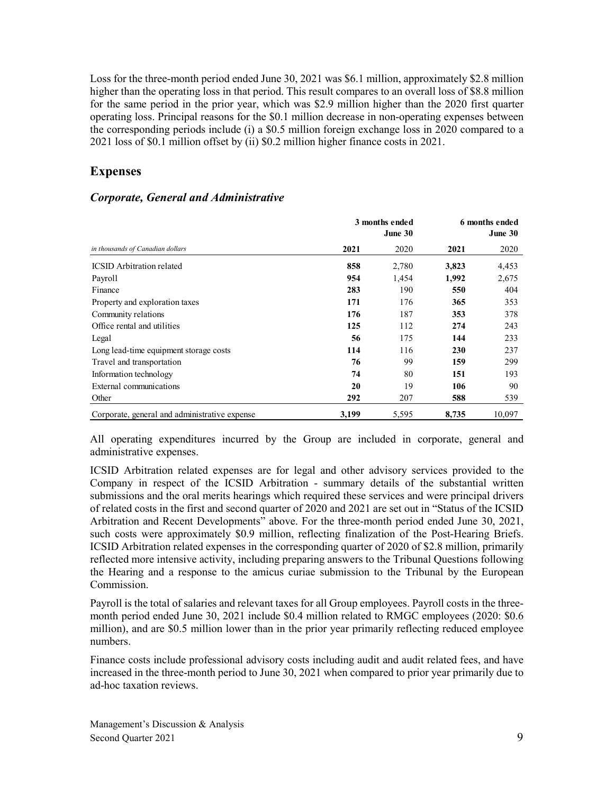Loss for the three-month period ended June 30, 2021 was \$6.1 million, approximately \$2.8 million higher than the operating loss in that period. This result compares to an overall loss of \$8.8 million for the same period in the prior year, which was \$2.9 million higher than the 2020 first quarter operating loss. Principal reasons for the \$0.1 million decrease in non-operating expenses between the corresponding periods include (i) a \$0.5 million foreign exchange loss in 2020 compared to a 2021 loss of \$0.1 million offset by (ii) \$0.2 million higher finance costs in 2021.

# **Expenses**

#### *Corporate, General and Administrative*

|                                               | 3 months ended<br>June 30 |       | 6 months ended<br>June 30 |        |  |
|-----------------------------------------------|---------------------------|-------|---------------------------|--------|--|
| in thousands of Canadian dollars              | 2021                      | 2020  | 2021                      | 2020   |  |
| <b>ICSID</b> Arbitration related              | 858                       | 2,780 | 3,823                     | 4,453  |  |
| Payroll                                       | 954                       | 1,454 | 1,992                     | 2,675  |  |
| Finance                                       | 283                       | 190   | 550                       | 404    |  |
| Property and exploration taxes                | 171                       | 176   | 365                       | 353    |  |
| Community relations                           | 176                       | 187   | 353                       | 378    |  |
| Office rental and utilities                   | 125                       | 112   | 274                       | 243    |  |
| Legal                                         | 56                        | 175   | 144                       | 233    |  |
| Long lead-time equipment storage costs        | 114                       | 116   | 230                       | 237    |  |
| Travel and transportation                     | 76                        | 99    | 159                       | 299    |  |
| Information technology                        | 74                        | 80    | 151                       | 193    |  |
| External communications                       | 20                        | 19    | 106                       | 90     |  |
| Other                                         | 292                       | 207   | 588                       | 539    |  |
| Corporate, general and administrative expense | 3,199                     | 5,595 | 8,735                     | 10,097 |  |

All operating expenditures incurred by the Group are included in corporate, general and administrative expenses.

ICSID Arbitration related expenses are for legal and other advisory services provided to the Company in respect of the ICSID Arbitration - summary details of the substantial written submissions and the oral merits hearings which required these services and were principal drivers of related costs in the first and second quarter of 2020 and 2021 are set out in "Status of the ICSID Arbitration and Recent Developments" above. For the three-month period ended June 30, 2021, such costs were approximately \$0.9 million, reflecting finalization of the Post-Hearing Briefs. ICSID Arbitration related expenses in the corresponding quarter of 2020 of \$2.8 million, primarily reflected more intensive activity, including preparing answers to the Tribunal Questions following the Hearing and a response to the amicus curiae submission to the Tribunal by the European Commission.

Payroll is the total of salaries and relevant taxes for all Group employees. Payroll costs in the threemonth period ended June 30, 2021 include \$0.4 million related to RMGC employees (2020: \$0.6 million), and are \$0.5 million lower than in the prior year primarily reflecting reduced employee numbers.

Finance costs include professional advisory costs including audit and audit related fees, and have increased in the three-month period to June 30, 2021 when compared to prior year primarily due to ad-hoc taxation reviews.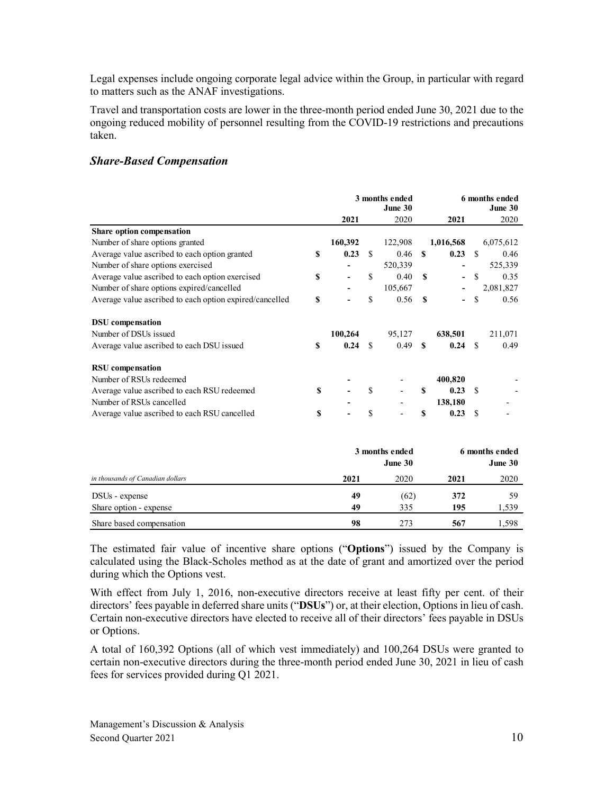Legal expenses include ongoing corporate legal advice within the Group, in particular with regard to matters such as the ANAF investigations.

Travel and transportation costs are lower in the three-month period ended June 30, 2021 due to the ongoing reduced mobility of personnel resulting from the COVID-19 restrictions and precautions taken.

# *Share-Based Compensation*

|                                                         |    | 3 months ended<br>June 30 |               |                |              | 6 months ended |               | June 30        |
|---------------------------------------------------------|----|---------------------------|---------------|----------------|--------------|----------------|---------------|----------------|
|                                                         |    | 2021                      |               | 2020           |              | 2021           |               | 2020           |
| Share option compensation                               |    |                           |               |                |              |                |               |                |
| Number of share options granted                         |    | 160,392                   |               | 122,908        |              | 1,016,568      |               | 6,075,612      |
| Average value ascribed to each option granted           | S  | 0.23                      | S             | 0.46           | S            | 0.23           | <sup>\$</sup> | 0.46           |
| Number of share options exercised                       |    |                           |               | 520,339        |              | $\overline{a}$ |               | 525,339        |
| Average value ascribed to each option exercised         | S  |                           | S             | 0.40           | S            |                | $\mathbb{S}$  | 0.35           |
| Number of share options expired/cancelled               |    |                           |               | 105,667        |              |                |               | 2,081,827      |
| Average value ascribed to each option expired/cancelled | \$ |                           | \$            | 0.56           | $\mathbf{s}$ |                | \$            | 0.56           |
| <b>DSU</b> compensation                                 |    |                           |               |                |              |                |               |                |
| Number of DSUs issued                                   |    | 100,264                   |               | 95,127         |              | 638,501        |               | 211,071        |
| Average value ascribed to each DSU issued               | S  | 0.24                      | \$            | 0.49           | \$           | 0.24           | <sup>\$</sup> | 0.49           |
| <b>RSU</b> compensation                                 |    |                           |               |                |              |                |               |                |
| Number of RSUs redeemed                                 |    |                           |               |                |              | 400,820        |               |                |
| Average value ascribed to each RSU redeemed             | \$ |                           | \$            |                | S            | 0.23           | <sup>\$</sup> |                |
| Number of RSUs cancelled                                |    |                           |               |                |              | 138,180        |               |                |
| Average value ascribed to each RSU cancelled            | S  |                           | <sup>\$</sup> |                | \$           | 0.23           | <sup>\$</sup> |                |
|                                                         |    |                           |               |                |              |                |               |                |
|                                                         |    |                           |               | 3 months ended |              |                |               | 6 months ended |
|                                                         |    |                           |               | June 30        |              |                |               | June 30        |
| in thousands of Canadian dollars                        |    | 2021                      |               | 2020           |              | 2021           |               | 2020           |
| DSU <sub>s</sub> - expense                              |    | 49                        |               | (62)           |              | 372            |               | 59             |
| Share option - expense                                  |    | 49                        |               | 335            |              | 195            |               | 1,539          |
| Share based compensation                                |    | 98                        |               | 273            |              | 567            |               | 1,598          |

The estimated fair value of incentive share options ("**Options**") issued by the Company is calculated using the Black-Scholes method as at the date of grant and amortized over the period during which the Options vest.

With effect from July 1, 2016, non-executive directors receive at least fifty per cent. of their directors' fees payable in deferred share units ("**DSUs**") or, at their election, Options in lieu of cash. Certain non-executive directors have elected to receive all of their directors' fees payable in DSUs or Options.

A total of 160,392 Options (all of which vest immediately) and 100,264 DSUs were granted to certain non-executive directors during the three-month period ended June 30, 2021 in lieu of cash fees for services provided during Q1 2021.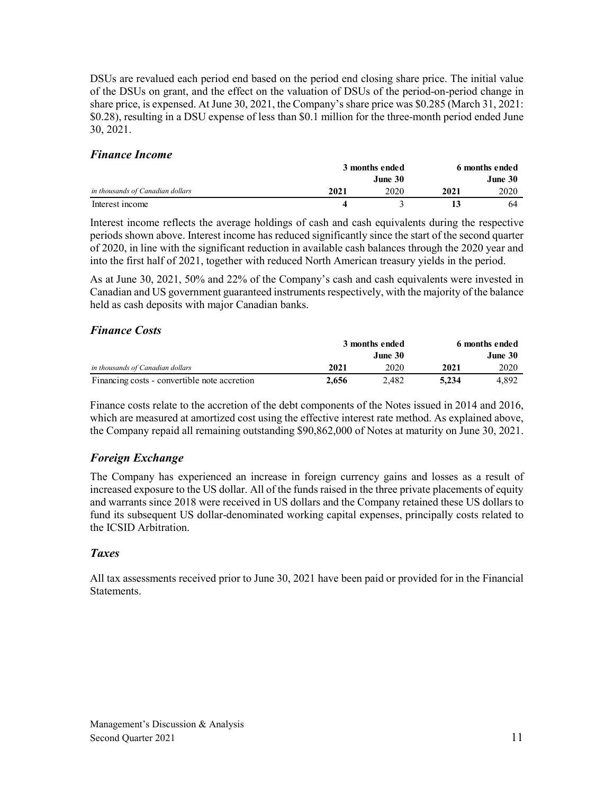DSUs are revalued each period end based on the period end closing share price. The initial value of the DSUs on grant, and the effect on the valuation of DSUs of the period-on-period change in share price, is expensed. At June 30, 2021, the Company's share price was \$0.285 (March 31, 2021: \$0.28), resulting in a DSU expense of less than \$0.1 million for the three-month period ended June 30, 2021.

# *Finance Income*

|                                  | 3 months ended |         | 6 months ended |         |  |
|----------------------------------|----------------|---------|----------------|---------|--|
|                                  |                | June 30 |                | June 30 |  |
| in thousands of Canadian dollars | 2021           | 2020    | 2021           | 2020    |  |
| Interest income                  |                |         |                | 64      |  |

Interest income reflects the average holdings of cash and cash equivalents during the respective periods shown above. Interest income has reduced significantly since the start of the second quarter of 2020, in line with the significant reduction in available cash balances through the 2020 year and into the first half of 2021, together with reduced North American treasury yields in the period.

As at June 30, 2021, 50% and 22% of the Company's cash and cash equivalents were invested in Canadian and US government guaranteed instruments respectively, with the majority of the balance held as cash deposits with major Canadian banks.

# *Finance Costs*

|                                              | 3 months ended |         | 6 months ended |         |  |
|----------------------------------------------|----------------|---------|----------------|---------|--|
|                                              |                | June 30 |                | June 30 |  |
| in thousands of Canadian dollars             | 2021           | 2020    | 2021           | 2020    |  |
| Financing costs - convertible note accretion | 2.656          | 2.482   | 5.234          | 4.892   |  |

Finance costs relate to the accretion of the debt components of the Notes issued in 2014 and 2016, which are measured at amortized cost using the effective interest rate method. As explained above, the Company repaid all remaining outstanding \$90,862,000 of Notes at maturity on June 30, 2021.

# *Foreign Exchange*

The Company has experienced an increase in foreign currency gains and losses as a result of increased exposure to the US dollar. All of the funds raised in the three private placements of equity and warrants since 2018 were received in US dollars and the Company retained these US dollars to fund its subsequent US dollar-denominated working capital expenses, principally costs related to the ICSID Arbitration.

### *Taxes*

All tax assessments received prior to June 30, 2021 have been paid or provided for in the Financial Statements.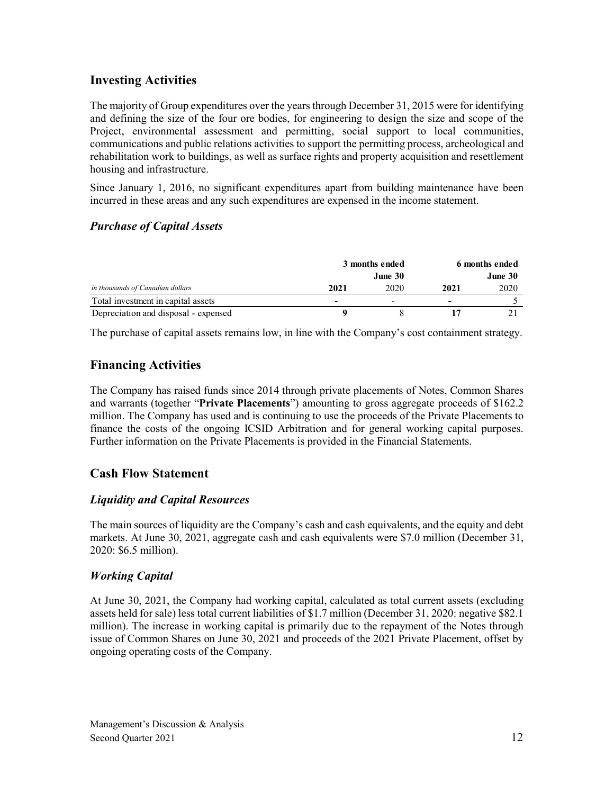# **Investing Activities**

The majority of Group expenditures over the years through December 31, 2015 were for identifying and defining the size of the four ore bodies, for engineering to design the size and scope of the Project, environmental assessment and permitting, social support to local communities, communications and public relations activities to support the permitting process, archeological and rehabilitation work to buildings, as well as surface rights and property acquisition and resettlement housing and infrastructure.

Since January 1, 2016, no significant expenditures apart from building maintenance have been incurred in these areas and any such expenditures are expensed in the income statement.

# *Purchase of Capital Assets*

|                                      | 3 months ended           |                          | 6 months ended           |      |  |
|--------------------------------------|--------------------------|--------------------------|--------------------------|------|--|
|                                      |                          | June 30                  | June 30                  |      |  |
| in thousands of Canadian dollars     | 2021                     | 2020                     | 2021                     | 2020 |  |
| Total investment in capital assets   | $\overline{\phantom{0}}$ | $\overline{\phantom{0}}$ | $\overline{\phantom{0}}$ |      |  |
| Depreciation and disposal - expensed |                          |                          |                          |      |  |

The purchase of capital assets remains low, in line with the Company's cost containment strategy.

# **Financing Activities**

The Company has raised funds since 2014 through private placements of Notes, Common Shares and warrants (together "**Private Placements**") amounting to gross aggregate proceeds of \$162.2 million. The Company has used and is continuing to use the proceeds of the Private Placements to finance the costs of the ongoing ICSID Arbitration and for general working capital purposes. Further information on the Private Placements is provided in the Financial Statements.

# **Cash Flow Statement**

# *Liquidity and Capital Resources*

The main sources of liquidity are the Company's cash and cash equivalents, and the equity and debt markets. At June 30, 2021, aggregate cash and cash equivalents were \$7.0 million (December 31, 2020: \$6.5 million).

# *Working Capital*

At June 30, 2021, the Company had working capital, calculated as total current assets (excluding assets held for sale) less total current liabilities of \$1.7 million (December 31, 2020: negative \$82.1 million). The increase in working capital is primarily due to the repayment of the Notes through issue of Common Shares on June 30, 2021 and proceeds of the 2021 Private Placement, offset by ongoing operating costs of the Company.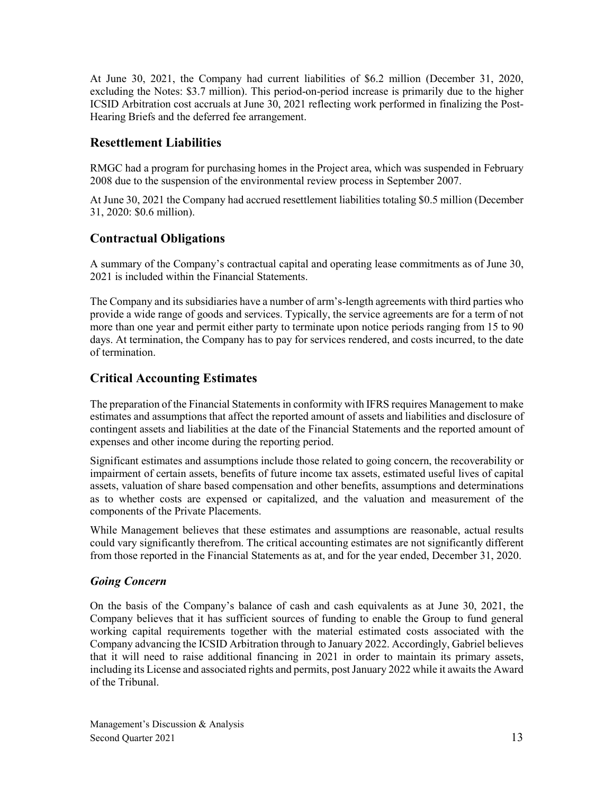At June 30, 2021, the Company had current liabilities of \$6.2 million (December 31, 2020, excluding the Notes: \$3.7 million). This period-on-period increase is primarily due to the higher ICSID Arbitration cost accruals at June 30, 2021 reflecting work performed in finalizing the Post-Hearing Briefs and the deferred fee arrangement.

# **Resettlement Liabilities**

RMGC had a program for purchasing homes in the Project area, which was suspended in February 2008 due to the suspension of the environmental review process in September 2007.

At June 30, 2021 the Company had accrued resettlement liabilities totaling \$0.5 million (December 31, 2020: \$0.6 million).

# **Contractual Obligations**

A summary of the Company's contractual capital and operating lease commitments as of June 30, 2021 is included within the Financial Statements.

The Company and its subsidiaries have a number of arm's-length agreements with third parties who provide a wide range of goods and services. Typically, the service agreements are for a term of not more than one year and permit either party to terminate upon notice periods ranging from 15 to 90 days. At termination, the Company has to pay for services rendered, and costs incurred, to the date of termination.

# **Critical Accounting Estimates**

The preparation of the Financial Statements in conformity with IFRS requires Management to make estimates and assumptions that affect the reported amount of assets and liabilities and disclosure of contingent assets and liabilities at the date of the Financial Statements and the reported amount of expenses and other income during the reporting period.

Significant estimates and assumptions include those related to going concern, the recoverability or impairment of certain assets, benefits of future income tax assets, estimated useful lives of capital assets, valuation of share based compensation and other benefits, assumptions and determinations as to whether costs are expensed or capitalized, and the valuation and measurement of the components of the Private Placements.

While Management believes that these estimates and assumptions are reasonable, actual results could vary significantly therefrom. The critical accounting estimates are not significantly different from those reported in the Financial Statements as at, and for the year ended, December 31, 2020.

# *Going Concern*

On the basis of the Company's balance of cash and cash equivalents as at June 30, 2021, the Company believes that it has sufficient sources of funding to enable the Group to fund general working capital requirements together with the material estimated costs associated with the Company advancing the ICSID Arbitration through to January 2022. Accordingly, Gabriel believes that it will need to raise additional financing in 2021 in order to maintain its primary assets, including its License and associated rights and permits, post January 2022 while it awaits the Award of the Tribunal.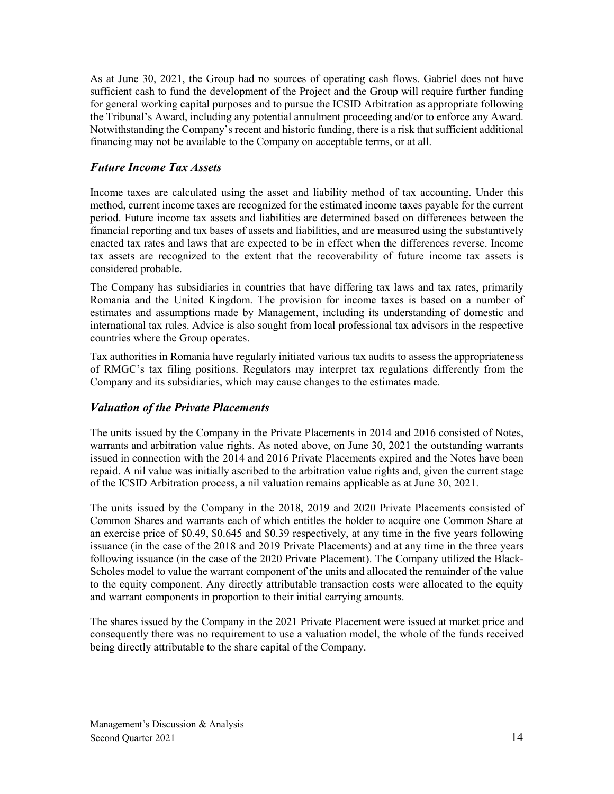As at June 30, 2021, the Group had no sources of operating cash flows. Gabriel does not have sufficient cash to fund the development of the Project and the Group will require further funding for general working capital purposes and to pursue the ICSID Arbitration as appropriate following the Tribunal's Award, including any potential annulment proceeding and/or to enforce any Award. Notwithstanding the Company's recent and historic funding, there is a risk that sufficient additional financing may not be available to the Company on acceptable terms, or at all.

# *Future Income Tax Assets*

Income taxes are calculated using the asset and liability method of tax accounting. Under this method, current income taxes are recognized for the estimated income taxes payable for the current period. Future income tax assets and liabilities are determined based on differences between the financial reporting and tax bases of assets and liabilities, and are measured using the substantively enacted tax rates and laws that are expected to be in effect when the differences reverse. Income tax assets are recognized to the extent that the recoverability of future income tax assets is considered probable.

The Company has subsidiaries in countries that have differing tax laws and tax rates, primarily Romania and the United Kingdom. The provision for income taxes is based on a number of estimates and assumptions made by Management, including its understanding of domestic and international tax rules. Advice is also sought from local professional tax advisors in the respective countries where the Group operates.

Tax authorities in Romania have regularly initiated various tax audits to assess the appropriateness of RMGC's tax filing positions. Regulators may interpret tax regulations differently from the Company and its subsidiaries, which may cause changes to the estimates made.

### *Valuation of the Private Placements*

The units issued by the Company in the Private Placements in 2014 and 2016 consisted of Notes, warrants and arbitration value rights. As noted above, on June 30, 2021 the outstanding warrants issued in connection with the 2014 and 2016 Private Placements expired and the Notes have been repaid. A nil value was initially ascribed to the arbitration value rights and, given the current stage of the ICSID Arbitration process, a nil valuation remains applicable as at June 30, 2021.

The units issued by the Company in the 2018, 2019 and 2020 Private Placements consisted of Common Shares and warrants each of which entitles the holder to acquire one Common Share at an exercise price of \$0.49, \$0.645 and \$0.39 respectively, at any time in the five years following issuance (in the case of the 2018 and 2019 Private Placements) and at any time in the three years following issuance (in the case of the 2020 Private Placement). The Company utilized the Black-Scholes model to value the warrant component of the units and allocated the remainder of the value to the equity component. Any directly attributable transaction costs were allocated to the equity and warrant components in proportion to their initial carrying amounts.

The shares issued by the Company in the 2021 Private Placement were issued at market price and consequently there was no requirement to use a valuation model, the whole of the funds received being directly attributable to the share capital of the Company.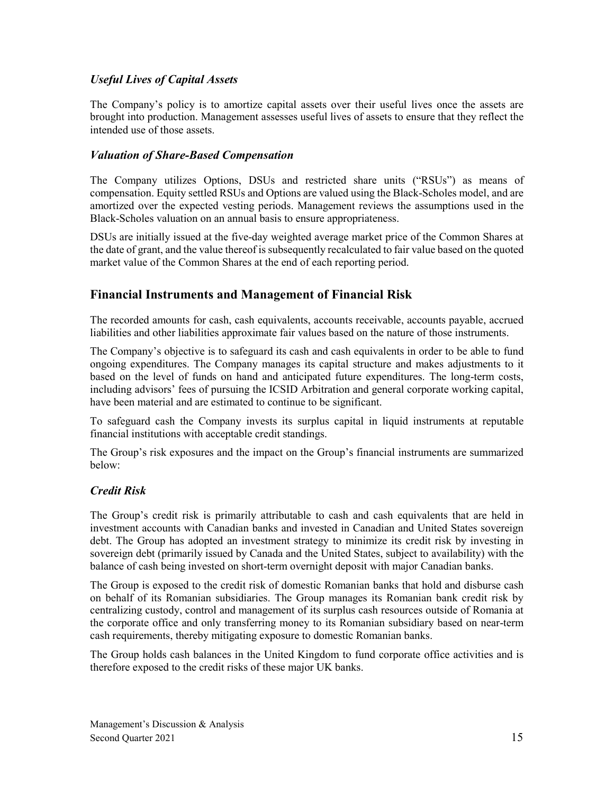# *Useful Lives of Capital Assets*

The Company's policy is to amortize capital assets over their useful lives once the assets are brought into production. Management assesses useful lives of assets to ensure that they reflect the intended use of those assets.

# *Valuation of Share-Based Compensation*

The Company utilizes Options, DSUs and restricted share units ("RSUs") as means of compensation. Equity settled RSUs and Options are valued using the Black-Scholes model, and are amortized over the expected vesting periods. Management reviews the assumptions used in the Black-Scholes valuation on an annual basis to ensure appropriateness.

DSUs are initially issued at the five-day weighted average market price of the Common Shares at the date of grant, and the value thereof is subsequently recalculated to fair value based on the quoted market value of the Common Shares at the end of each reporting period.

# **Financial Instruments and Management of Financial Risk**

The recorded amounts for cash, cash equivalents, accounts receivable, accounts payable, accrued liabilities and other liabilities approximate fair values based on the nature of those instruments.

The Company's objective is to safeguard its cash and cash equivalents in order to be able to fund ongoing expenditures. The Company manages its capital structure and makes adjustments to it based on the level of funds on hand and anticipated future expenditures. The long-term costs, including advisors' fees of pursuing the ICSID Arbitration and general corporate working capital, have been material and are estimated to continue to be significant.

To safeguard cash the Company invests its surplus capital in liquid instruments at reputable financial institutions with acceptable credit standings.

The Group's risk exposures and the impact on the Group's financial instruments are summarized below:

# *Credit Risk*

The Group's credit risk is primarily attributable to cash and cash equivalents that are held in investment accounts with Canadian banks and invested in Canadian and United States sovereign debt. The Group has adopted an investment strategy to minimize its credit risk by investing in sovereign debt (primarily issued by Canada and the United States, subject to availability) with the balance of cash being invested on short-term overnight deposit with major Canadian banks.

The Group is exposed to the credit risk of domestic Romanian banks that hold and disburse cash on behalf of its Romanian subsidiaries. The Group manages its Romanian bank credit risk by centralizing custody, control and management of its surplus cash resources outside of Romania at the corporate office and only transferring money to its Romanian subsidiary based on near-term cash requirements, thereby mitigating exposure to domestic Romanian banks.

The Group holds cash balances in the United Kingdom to fund corporate office activities and is therefore exposed to the credit risks of these major UK banks.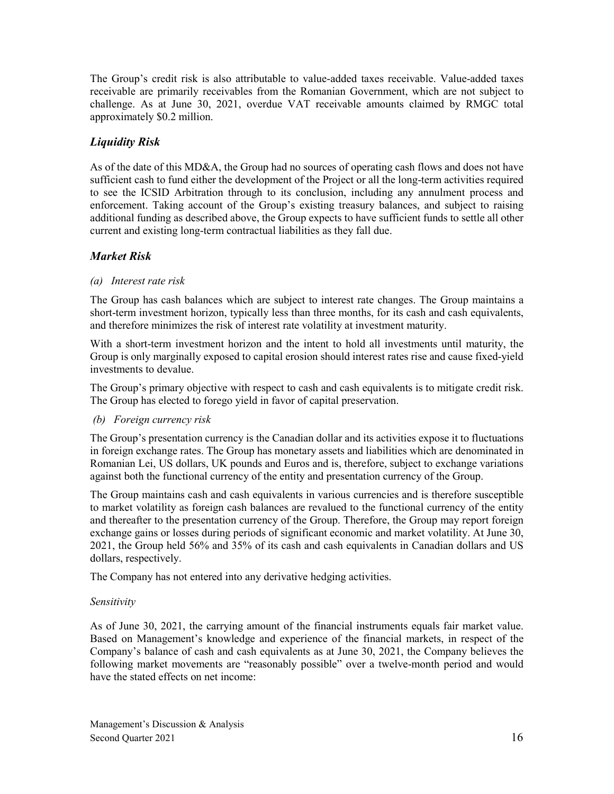The Group's credit risk is also attributable to value-added taxes receivable. Value-added taxes receivable are primarily receivables from the Romanian Government, which are not subject to challenge. As at June 30, 2021, overdue VAT receivable amounts claimed by RMGC total approximately \$0.2 million.

# *Liquidity Risk*

As of the date of this MD&A, the Group had no sources of operating cash flows and does not have sufficient cash to fund either the development of the Project or all the long-term activities required to see the ICSID Arbitration through to its conclusion, including any annulment process and enforcement. Taking account of the Group's existing treasury balances, and subject to raising additional funding as described above, the Group expects to have sufficient funds to settle all other current and existing long-term contractual liabilities as they fall due.

# *Market Risk*

#### *(a) Interest rate risk*

The Group has cash balances which are subject to interest rate changes. The Group maintains a short-term investment horizon, typically less than three months, for its cash and cash equivalents, and therefore minimizes the risk of interest rate volatility at investment maturity.

With a short-term investment horizon and the intent to hold all investments until maturity, the Group is only marginally exposed to capital erosion should interest rates rise and cause fixed-yield investments to devalue.

The Group's primary objective with respect to cash and cash equivalents is to mitigate credit risk. The Group has elected to forego yield in favor of capital preservation.

#### *(b) Foreign currency risk*

The Group's presentation currency is the Canadian dollar and its activities expose it to fluctuations in foreign exchange rates. The Group has monetary assets and liabilities which are denominated in Romanian Lei, US dollars, UK pounds and Euros and is, therefore, subject to exchange variations against both the functional currency of the entity and presentation currency of the Group.

The Group maintains cash and cash equivalents in various currencies and is therefore susceptible to market volatility as foreign cash balances are revalued to the functional currency of the entity and thereafter to the presentation currency of the Group. Therefore, the Group may report foreign exchange gains or losses during periods of significant economic and market volatility. At June 30, 2021, the Group held 56% and 35% of its cash and cash equivalents in Canadian dollars and US dollars, respectively.

The Company has not entered into any derivative hedging activities.

### *Sensitivity*

As of June 30, 2021, the carrying amount of the financial instruments equals fair market value. Based on Management's knowledge and experience of the financial markets, in respect of the Company's balance of cash and cash equivalents as at June 30, 2021, the Company believes the following market movements are "reasonably possible" over a twelve-month period and would have the stated effects on net income: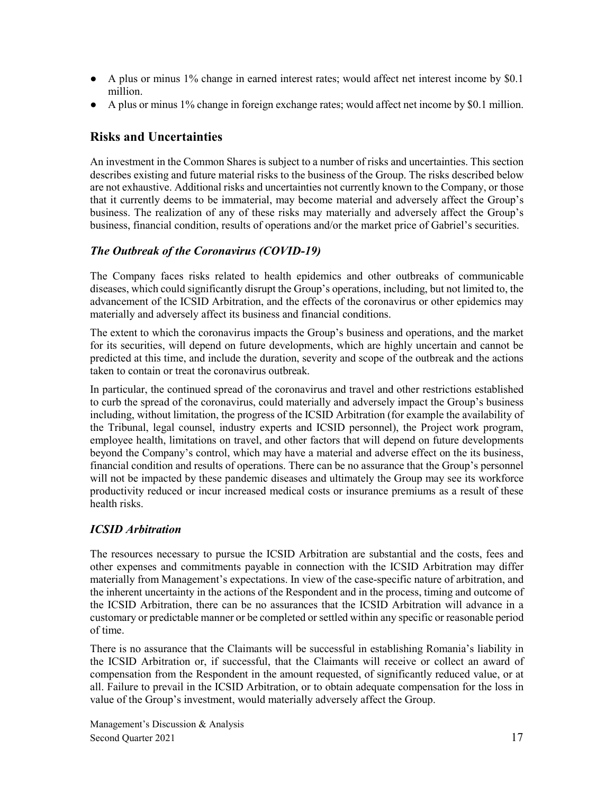- A plus or minus 1% change in earned interest rates; would affect net interest income by \$0.1 million.
- A plus or minus 1% change in foreign exchange rates; would affect net income by \$0.1 million.

# **Risks and Uncertainties**

An investment in the Common Shares is subject to a number of risks and uncertainties. This section describes existing and future material risks to the business of the Group. The risks described below are not exhaustive. Additional risks and uncertainties not currently known to the Company, or those that it currently deems to be immaterial, may become material and adversely affect the Group's business. The realization of any of these risks may materially and adversely affect the Group's business, financial condition, results of operations and/or the market price of Gabriel's securities.

# *The Outbreak of the Coronavirus (COVID‐19)*

The Company faces risks related to health epidemics and other outbreaks of communicable diseases, which could significantly disrupt the Group's operations, including, but not limited to, the advancement of the ICSID Arbitration, and the effects of the coronavirus or other epidemics may materially and adversely affect its business and financial conditions.

The extent to which the coronavirus impacts the Group's business and operations, and the market for its securities, will depend on future developments, which are highly uncertain and cannot be predicted at this time, and include the duration, severity and scope of the outbreak and the actions taken to contain or treat the coronavirus outbreak.

In particular, the continued spread of the coronavirus and travel and other restrictions established to curb the spread of the coronavirus, could materially and adversely impact the Group's business including, without limitation, the progress of the ICSID Arbitration (for example the availability of the Tribunal, legal counsel, industry experts and ICSID personnel), the Project work program, employee health, limitations on travel, and other factors that will depend on future developments beyond the Company's control, which may have a material and adverse effect on the its business, financial condition and results of operations. There can be no assurance that the Group's personnel will not be impacted by these pandemic diseases and ultimately the Group may see its workforce productivity reduced or incur increased medical costs or insurance premiums as a result of these health risks.

# *ICSID Arbitration*

The resources necessary to pursue the ICSID Arbitration are substantial and the costs, fees and other expenses and commitments payable in connection with the ICSID Arbitration may differ materially from Management's expectations. In view of the case-specific nature of arbitration, and the inherent uncertainty in the actions of the Respondent and in the process, timing and outcome of the ICSID Arbitration, there can be no assurances that the ICSID Arbitration will advance in a customary or predictable manner or be completed or settled within any specific or reasonable period of time.

There is no assurance that the Claimants will be successful in establishing Romania's liability in the ICSID Arbitration or, if successful, that the Claimants will receive or collect an award of compensation from the Respondent in the amount requested, of significantly reduced value, or at all. Failure to prevail in the ICSID Arbitration, or to obtain adequate compensation for the loss in value of the Group's investment, would materially adversely affect the Group.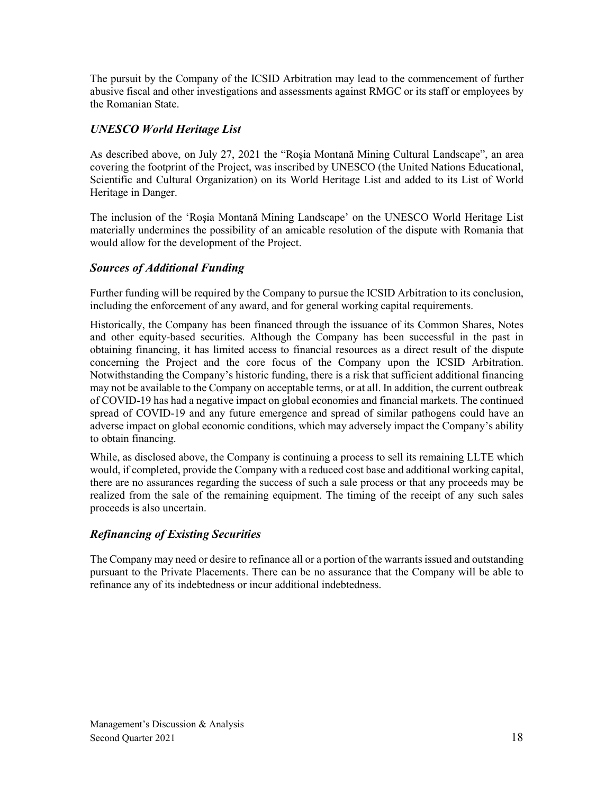The pursuit by the Company of the ICSID Arbitration may lead to the commencement of further abusive fiscal and other investigations and assessments against RMGC or its staff or employees by the Romanian State.

# *UNESCO World Heritage List*

As described above, on July 27, 2021 the "Roşia Montană Mining Cultural Landscape", an area covering the footprint of the Project, was inscribed by UNESCO (the United Nations Educational, Scientific and Cultural Organization) on its World Heritage List and added to its List of World Heritage in Danger.

The inclusion of the 'Roşia Montană Mining Landscape' on the UNESCO World Heritage List materially undermines the possibility of an amicable resolution of the dispute with Romania that would allow for the development of the Project.

# *Sources of Additional Funding*

Further funding will be required by the Company to pursue the ICSID Arbitration to its conclusion, including the enforcement of any award, and for general working capital requirements.

Historically, the Company has been financed through the issuance of its Common Shares, Notes and other equity-based securities. Although the Company has been successful in the past in obtaining financing, it has limited access to financial resources as a direct result of the dispute concerning the Project and the core focus of the Company upon the ICSID Arbitration. Notwithstanding the Company's historic funding, there is a risk that sufficient additional financing may not be available to the Company on acceptable terms, or at all. In addition, the current outbreak of COVID-19 has had a negative impact on global economies and financial markets. The continued spread of COVID-19 and any future emergence and spread of similar pathogens could have an adverse impact on global economic conditions, which may adversely impact the Company's ability to obtain financing.

While, as disclosed above, the Company is continuing a process to sell its remaining LLTE which would, if completed, provide the Company with a reduced cost base and additional working capital, there are no assurances regarding the success of such a sale process or that any proceeds may be realized from the sale of the remaining equipment. The timing of the receipt of any such sales proceeds is also uncertain.

# *Refinancing of Existing Securities*

The Company may need or desire to refinance all or a portion of the warrants issued and outstanding pursuant to the Private Placements. There can be no assurance that the Company will be able to refinance any of its indebtedness or incur additional indebtedness.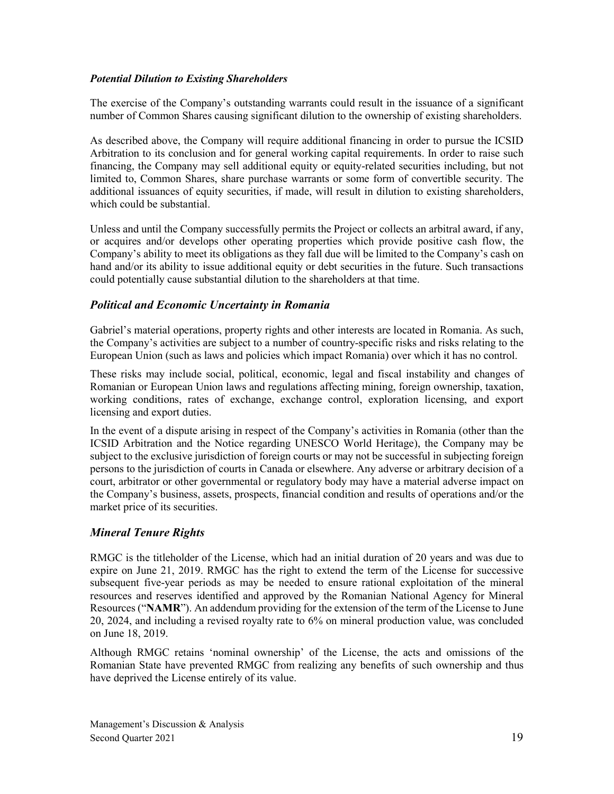#### *Potential Dilution to Existing Shareholders*

The exercise of the Company's outstanding warrants could result in the issuance of a significant number of Common Shares causing significant dilution to the ownership of existing shareholders.

As described above, the Company will require additional financing in order to pursue the ICSID Arbitration to its conclusion and for general working capital requirements. In order to raise such financing, the Company may sell additional equity or equity-related securities including, but not limited to, Common Shares, share purchase warrants or some form of convertible security. The additional issuances of equity securities, if made, will result in dilution to existing shareholders, which could be substantial.

Unless and until the Company successfully permits the Project or collects an arbitral award, if any, or acquires and/or develops other operating properties which provide positive cash flow, the Company's ability to meet its obligations as they fall due will be limited to the Company's cash on hand and/or its ability to issue additional equity or debt securities in the future. Such transactions could potentially cause substantial dilution to the shareholders at that time.

# *Political and Economic Uncertainty in Romania*

Gabriel's material operations, property rights and other interests are located in Romania. As such, the Company's activities are subject to a number of country-specific risks and risks relating to the European Union (such as laws and policies which impact Romania) over which it has no control.

These risks may include social, political, economic, legal and fiscal instability and changes of Romanian or European Union laws and regulations affecting mining, foreign ownership, taxation, working conditions, rates of exchange, exchange control, exploration licensing, and export licensing and export duties.

In the event of a dispute arising in respect of the Company's activities in Romania (other than the ICSID Arbitration and the Notice regarding UNESCO World Heritage), the Company may be subject to the exclusive jurisdiction of foreign courts or may not be successful in subjecting foreign persons to the jurisdiction of courts in Canada or elsewhere. Any adverse or arbitrary decision of a court, arbitrator or other governmental or regulatory body may have a material adverse impact on the Company's business, assets, prospects, financial condition and results of operations and/or the market price of its securities.

### *Mineral Tenure Rights*

RMGC is the titleholder of the License, which had an initial duration of 20 years and was due to expire on June 21, 2019. RMGC has the right to extend the term of the License for successive subsequent five-year periods as may be needed to ensure rational exploitation of the mineral resources and reserves identified and approved by the Romanian National Agency for Mineral Resources ("**NAMR**"). An addendum providing for the extension of the term of the License to June 20, 2024, and including a revised royalty rate to 6% on mineral production value, was concluded on June 18, 2019.

Although RMGC retains 'nominal ownership' of the License, the acts and omissions of the Romanian State have prevented RMGC from realizing any benefits of such ownership and thus have deprived the License entirely of its value.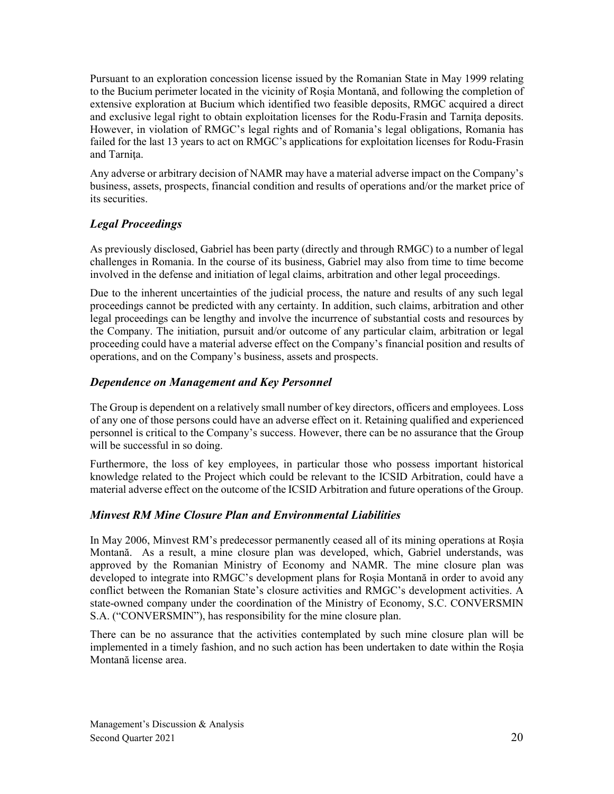Pursuant to an exploration concession license issued by the Romanian State in May 1999 relating to the Bucium perimeter located in the vicinity of Roşia Montană, and following the completion of extensive exploration at Bucium which identified two feasible deposits, RMGC acquired a direct and exclusive legal right to obtain exploitation licenses for the Rodu-Frasin and Tarnita deposits. However, in violation of RMGC's legal rights and of Romania's legal obligations, Romania has failed for the last 13 years to act on RMGC's applications for exploitation licenses for Rodu-Frasin and Tarnita.

Any adverse or arbitrary decision of NAMR may have a material adverse impact on the Company's business, assets, prospects, financial condition and results of operations and/or the market price of its securities.

# *Legal Proceedings*

As previously disclosed, Gabriel has been party (directly and through RMGC) to a number of legal challenges in Romania. In the course of its business, Gabriel may also from time to time become involved in the defense and initiation of legal claims, arbitration and other legal proceedings.

Due to the inherent uncertainties of the judicial process, the nature and results of any such legal proceedings cannot be predicted with any certainty. In addition, such claims, arbitration and other legal proceedings can be lengthy and involve the incurrence of substantial costs and resources by the Company. The initiation, pursuit and/or outcome of any particular claim, arbitration or legal proceeding could have a material adverse effect on the Company's financial position and results of operations, and on the Company's business, assets and prospects.

# *Dependence on Management and Key Personnel*

The Group is dependent on a relatively small number of key directors, officers and employees. Loss of any one of those persons could have an adverse effect on it. Retaining qualified and experienced personnel is critical to the Company's success. However, there can be no assurance that the Group will be successful in so doing.

Furthermore, the loss of key employees, in particular those who possess important historical knowledge related to the Project which could be relevant to the ICSID Arbitration, could have a material adverse effect on the outcome of the ICSID Arbitration and future operations of the Group.

# *Minvest RM Mine Closure Plan and Environmental Liabilities*

In May 2006, Minvest RM's predecessor permanently ceased all of its mining operations at Roșia Montană. As a result, a mine closure plan was developed, which, Gabriel understands, was approved by the Romanian Ministry of Economy and NAMR. The mine closure plan was developed to integrate into RMGC's development plans for Roșia Montană in order to avoid any conflict between the Romanian State's closure activities and RMGC's development activities. A state-owned company under the coordination of the Ministry of Economy, S.C. CONVERSMIN S.A. ("CONVERSMIN"), has responsibility for the mine closure plan.

There can be no assurance that the activities contemplated by such mine closure plan will be implemented in a timely fashion, and no such action has been undertaken to date within the Roșia Montană license area.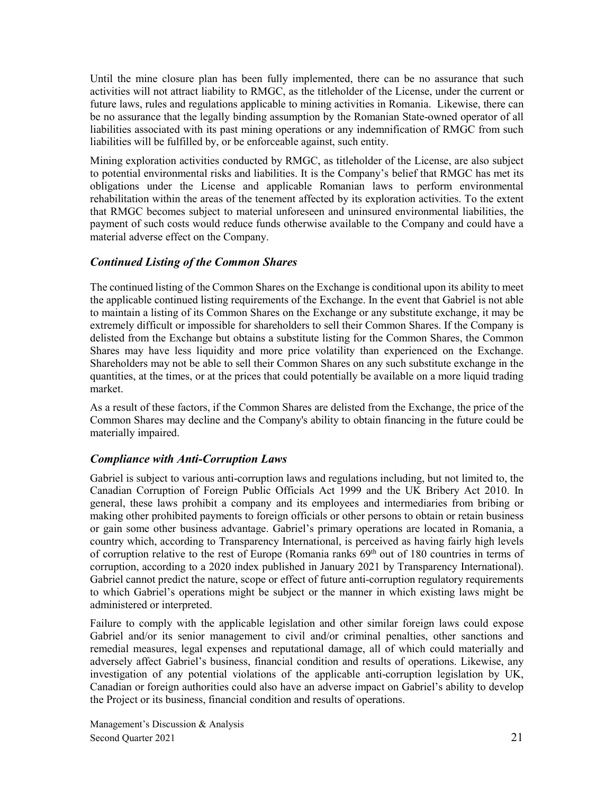Until the mine closure plan has been fully implemented, there can be no assurance that such activities will not attract liability to RMGC, as the titleholder of the License, under the current or future laws, rules and regulations applicable to mining activities in Romania. Likewise, there can be no assurance that the legally binding assumption by the Romanian State-owned operator of all liabilities associated with its past mining operations or any indemnification of RMGC from such liabilities will be fulfilled by, or be enforceable against, such entity.

Mining exploration activities conducted by RMGC, as titleholder of the License, are also subject to potential environmental risks and liabilities. It is the Company's belief that RMGC has met its obligations under the License and applicable Romanian laws to perform environmental rehabilitation within the areas of the tenement affected by its exploration activities. To the extent that RMGC becomes subject to material unforeseen and uninsured environmental liabilities, the payment of such costs would reduce funds otherwise available to the Company and could have a material adverse effect on the Company.

# *Continued Listing of the Common Shares*

The continued listing of the Common Shares on the Exchange is conditional upon its ability to meet the applicable continued listing requirements of the Exchange. In the event that Gabriel is not able to maintain a listing of its Common Shares on the Exchange or any substitute exchange, it may be extremely difficult or impossible for shareholders to sell their Common Shares. If the Company is delisted from the Exchange but obtains a substitute listing for the Common Shares, the Common Shares may have less liquidity and more price volatility than experienced on the Exchange. Shareholders may not be able to sell their Common Shares on any such substitute exchange in the quantities, at the times, or at the prices that could potentially be available on a more liquid trading market.

As a result of these factors, if the Common Shares are delisted from the Exchange, the price of the Common Shares may decline and the Company's ability to obtain financing in the future could be materially impaired.

# *Compliance with Anti-Corruption Laws*

Gabriel is subject to various anti-corruption laws and regulations including, but not limited to, the Canadian Corruption of Foreign Public Officials Act 1999 and the UK Bribery Act 2010. In general, these laws prohibit a company and its employees and intermediaries from bribing or making other prohibited payments to foreign officials or other persons to obtain or retain business or gain some other business advantage. Gabriel's primary operations are located in Romania, a country which, according to Transparency International, is perceived as having fairly high levels of corruption relative to the rest of Europe (Romania ranks  $69<sup>th</sup>$  out of 180 countries in terms of corruption, according to a 2020 index published in January 2021 by Transparency International). Gabriel cannot predict the nature, scope or effect of future anti-corruption regulatory requirements to which Gabriel's operations might be subject or the manner in which existing laws might be administered or interpreted.

Failure to comply with the applicable legislation and other similar foreign laws could expose Gabriel and/or its senior management to civil and/or criminal penalties, other sanctions and remedial measures, legal expenses and reputational damage, all of which could materially and adversely affect Gabriel's business, financial condition and results of operations. Likewise, any investigation of any potential violations of the applicable anti-corruption legislation by UK, Canadian or foreign authorities could also have an adverse impact on Gabriel's ability to develop the Project or its business, financial condition and results of operations.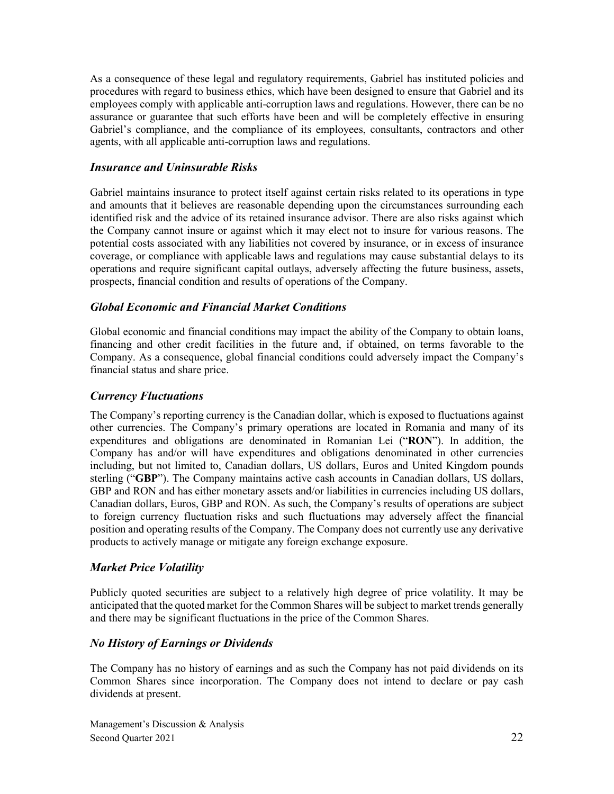As a consequence of these legal and regulatory requirements, Gabriel has instituted policies and procedures with regard to business ethics, which have been designed to ensure that Gabriel and its employees comply with applicable anti-corruption laws and regulations. However, there can be no assurance or guarantee that such efforts have been and will be completely effective in ensuring Gabriel's compliance, and the compliance of its employees, consultants, contractors and other agents, with all applicable anti-corruption laws and regulations.

# *Insurance and Uninsurable Risks*

Gabriel maintains insurance to protect itself against certain risks related to its operations in type and amounts that it believes are reasonable depending upon the circumstances surrounding each identified risk and the advice of its retained insurance advisor. There are also risks against which the Company cannot insure or against which it may elect not to insure for various reasons. The potential costs associated with any liabilities not covered by insurance, or in excess of insurance coverage, or compliance with applicable laws and regulations may cause substantial delays to its operations and require significant capital outlays, adversely affecting the future business, assets, prospects, financial condition and results of operations of the Company.

# *Global Economic and Financial Market Conditions*

Global economic and financial conditions may impact the ability of the Company to obtain loans, financing and other credit facilities in the future and, if obtained, on terms favorable to the Company. As a consequence, global financial conditions could adversely impact the Company's financial status and share price.

### *Currency Fluctuations*

The Company's reporting currency is the Canadian dollar, which is exposed to fluctuations against other currencies. The Company's primary operations are located in Romania and many of its expenditures and obligations are denominated in Romanian Lei ("**RON**"). In addition, the Company has and/or will have expenditures and obligations denominated in other currencies including, but not limited to, Canadian dollars, US dollars, Euros and United Kingdom pounds sterling ("**GBP**"). The Company maintains active cash accounts in Canadian dollars, US dollars, GBP and RON and has either monetary assets and/or liabilities in currencies including US dollars, Canadian dollars, Euros, GBP and RON. As such, the Company's results of operations are subject to foreign currency fluctuation risks and such fluctuations may adversely affect the financial position and operating results of the Company. The Company does not currently use any derivative products to actively manage or mitigate any foreign exchange exposure.

### *Market Price Volatility*

Publicly quoted securities are subject to a relatively high degree of price volatility. It may be anticipated that the quoted market for the Common Shares will be subject to market trends generally and there may be significant fluctuations in the price of the Common Shares.

### *No History of Earnings or Dividends*

The Company has no history of earnings and as such the Company has not paid dividends on its Common Shares since incorporation. The Company does not intend to declare or pay cash dividends at present.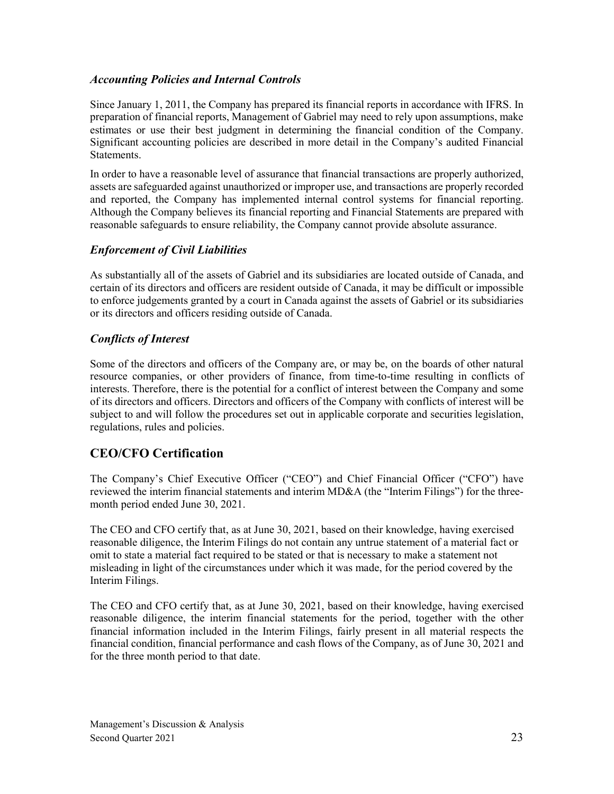# *Accounting Policies and Internal Controls*

Since January 1, 2011, the Company has prepared its financial reports in accordance with IFRS. In preparation of financial reports, Management of Gabriel may need to rely upon assumptions, make estimates or use their best judgment in determining the financial condition of the Company. Significant accounting policies are described in more detail in the Company's audited Financial Statements.

In order to have a reasonable level of assurance that financial transactions are properly authorized, assets are safeguarded against unauthorized or improper use, and transactions are properly recorded and reported, the Company has implemented internal control systems for financial reporting. Although the Company believes its financial reporting and Financial Statements are prepared with reasonable safeguards to ensure reliability, the Company cannot provide absolute assurance.

# *Enforcement of Civil Liabilities*

As substantially all of the assets of Gabriel and its subsidiaries are located outside of Canada, and certain of its directors and officers are resident outside of Canada, it may be difficult or impossible to enforce judgements granted by a court in Canada against the assets of Gabriel or its subsidiaries or its directors and officers residing outside of Canada.

# *Conflicts of Interest*

Some of the directors and officers of the Company are, or may be, on the boards of other natural resource companies, or other providers of finance, from time-to-time resulting in conflicts of interests. Therefore, there is the potential for a conflict of interest between the Company and some of its directors and officers. Directors and officers of the Company with conflicts of interest will be subject to and will follow the procedures set out in applicable corporate and securities legislation, regulations, rules and policies.

# **CEO/CFO Certification**

The Company's Chief Executive Officer ("CEO") and Chief Financial Officer ("CFO") have reviewed the interim financial statements and interim MD&A (the "Interim Filings") for the threemonth period ended June 30, 2021.

The CEO and CFO certify that, as at June 30, 2021, based on their knowledge, having exercised reasonable diligence, the Interim Filings do not contain any untrue statement of a material fact or omit to state a material fact required to be stated or that is necessary to make a statement not misleading in light of the circumstances under which it was made, for the period covered by the Interim Filings.

The CEO and CFO certify that, as at June 30, 2021, based on their knowledge, having exercised reasonable diligence, the interim financial statements for the period, together with the other financial information included in the Interim Filings, fairly present in all material respects the financial condition, financial performance and cash flows of the Company, as of June 30, 2021 and for the three month period to that date.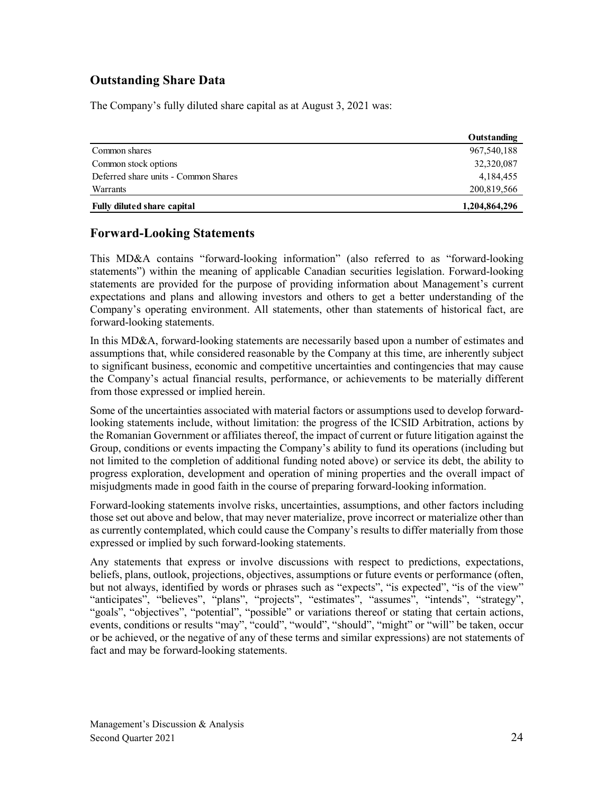# **Outstanding Share Data**

The Company's fully diluted share capital as at August 3, 2021 was:

|                                      | Outstanding   |
|--------------------------------------|---------------|
| Common shares                        | 967, 540, 188 |
| Common stock options                 | 32,320,087    |
| Deferred share units - Common Shares | 4, 184, 455   |
| Warrants                             | 200,819,566   |
| Fully diluted share capital          | 1,204,864,296 |

# **Forward-Looking Statements**

This MD&A contains "forward-looking information" (also referred to as "forward-looking statements") within the meaning of applicable Canadian securities legislation. Forward-looking statements are provided for the purpose of providing information about Management's current expectations and plans and allowing investors and others to get a better understanding of the Company's operating environment. All statements, other than statements of historical fact, are forward-looking statements.

In this MD&A, forward-looking statements are necessarily based upon a number of estimates and assumptions that, while considered reasonable by the Company at this time, are inherently subject to significant business, economic and competitive uncertainties and contingencies that may cause the Company's actual financial results, performance, or achievements to be materially different from those expressed or implied herein.

Some of the uncertainties associated with material factors or assumptions used to develop forwardlooking statements include, without limitation: the progress of the ICSID Arbitration, actions by the Romanian Government or affiliates thereof, the impact of current or future litigation against the Group, conditions or events impacting the Company's ability to fund its operations (including but not limited to the completion of additional funding noted above) or service its debt, the ability to progress exploration, development and operation of mining properties and the overall impact of misjudgments made in good faith in the course of preparing forward-looking information.

Forward-looking statements involve risks, uncertainties, assumptions, and other factors including those set out above and below, that may never materialize, prove incorrect or materialize other than as currently contemplated, which could cause the Company's results to differ materially from those expressed or implied by such forward-looking statements.

Any statements that express or involve discussions with respect to predictions, expectations, beliefs, plans, outlook, projections, objectives, assumptions or future events or performance (often, but not always, identified by words or phrases such as "expects", "is expected", "is of the view" "anticipates", "believes", "plans", "projects", "estimates", "assumes", "intends", "strategy", "goals", "objectives", "potential", "possible" or variations thereof or stating that certain actions, events, conditions or results "may", "could", "would", "should", "might" or "will" be taken, occur or be achieved, or the negative of any of these terms and similar expressions) are not statements of fact and may be forward-looking statements.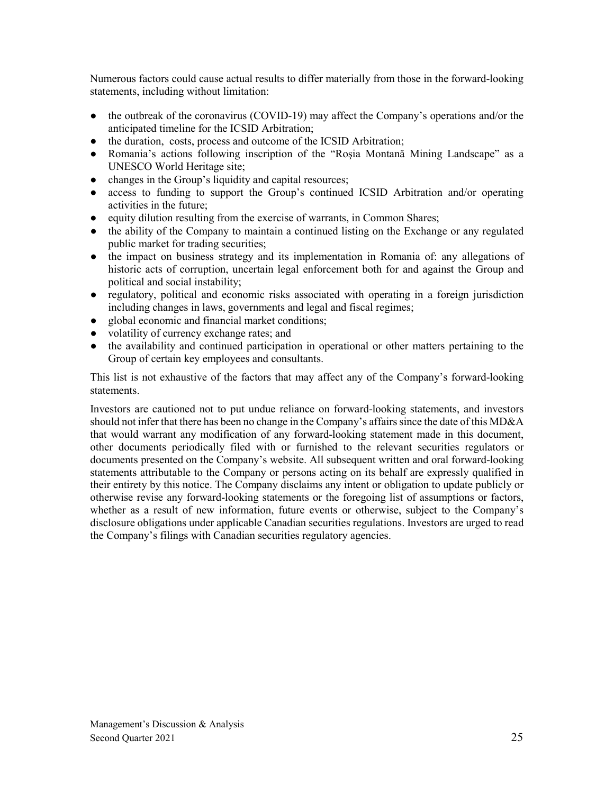Numerous factors could cause actual results to differ materially from those in the forward-looking statements, including without limitation:

- the outbreak of the coronavirus (COVID-19) may affect the Company's operations and/or the anticipated timeline for the ICSID Arbitration;
- the duration, costs, process and outcome of the ICSID Arbitration;
- Romania's actions following inscription of the "Roşia Montană Mining Landscape" as a UNESCO World Heritage site;
- changes in the Group's liquidity and capital resources;
- access to funding to support the Group's continued ICSID Arbitration and/or operating activities in the future;
- equity dilution resulting from the exercise of warrants, in Common Shares;
- the ability of the Company to maintain a continued listing on the Exchange or any regulated public market for trading securities;
- the impact on business strategy and its implementation in Romania of: any allegations of historic acts of corruption, uncertain legal enforcement both for and against the Group and political and social instability;
- regulatory, political and economic risks associated with operating in a foreign jurisdiction including changes in laws, governments and legal and fiscal regimes;
- global economic and financial market conditions;
- volatility of currency exchange rates; and
- the availability and continued participation in operational or other matters pertaining to the Group of certain key employees and consultants.

This list is not exhaustive of the factors that may affect any of the Company's forward-looking statements.

Investors are cautioned not to put undue reliance on forward-looking statements, and investors should not infer that there has been no change in the Company's affairs since the date of this MD&A that would warrant any modification of any forward-looking statement made in this document, other documents periodically filed with or furnished to the relevant securities regulators or documents presented on the Company's website. All subsequent written and oral forward-looking statements attributable to the Company or persons acting on its behalf are expressly qualified in their entirety by this notice. The Company disclaims any intent or obligation to update publicly or otherwise revise any forward-looking statements or the foregoing list of assumptions or factors, whether as a result of new information, future events or otherwise, subject to the Company's disclosure obligations under applicable Canadian securities regulations. Investors are urged to read the Company's filings with Canadian securities regulatory agencies.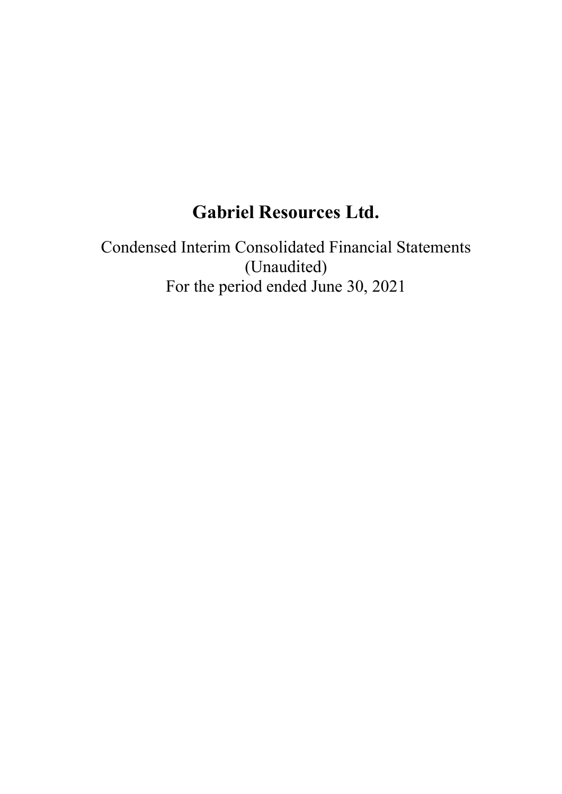# **Gabriel Resources Ltd.**

Condensed Interim Consolidated Financial Statements (Unaudited) For the period ended June 30, 2021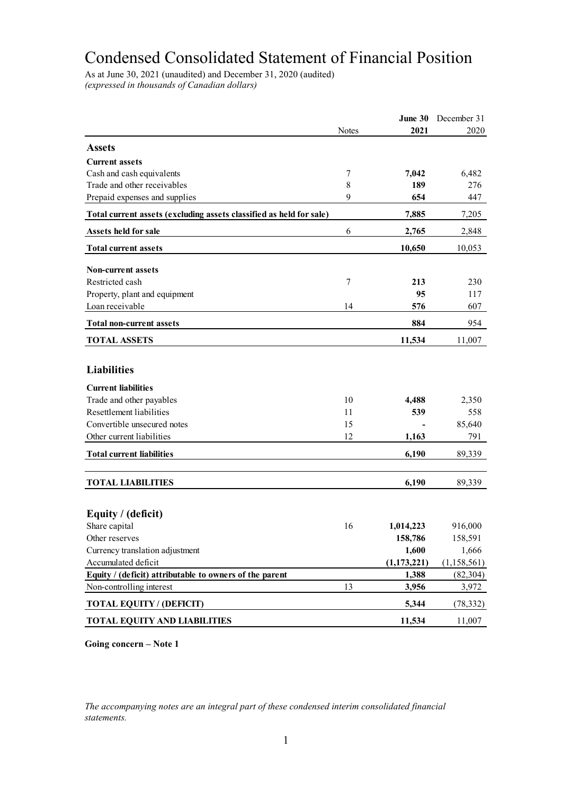# Condensed Consolidated Statement of Financial Position

As at June 30, 2021 (unaudited) and December 31, 2020 (audited) *(expressed in thousands of Canadian dollars)*

|                                                                     |              | June 30       | December 31   |
|---------------------------------------------------------------------|--------------|---------------|---------------|
|                                                                     | <b>Notes</b> | 2021          | 2020          |
| <b>Assets</b>                                                       |              |               |               |
| <b>Current assets</b>                                               |              |               |               |
| Cash and cash equivalents                                           | 7            | 7,042         | 6,482         |
| Trade and other receivables                                         | 8            | 189           | 276           |
| Prepaid expenses and supplies                                       | 9            | 654           | 447           |
| Total current assets (excluding assets classified as held for sale) |              | 7,885         | 7,205         |
| Assets held for sale                                                | 6            | 2,765         | 2,848         |
| <b>Total current assets</b>                                         |              | 10,650        | 10,053        |
| <b>Non-current assets</b>                                           |              |               |               |
| Restricted cash                                                     | 7            | 213           | 230           |
| Property, plant and equipment                                       |              | 95            | 117           |
| Loan receivable                                                     | 14           | 576           | 607           |
| <b>Total non-current assets</b>                                     |              | 884           | 954           |
| <b>TOTAL ASSETS</b>                                                 |              | 11,534        | 11,007        |
|                                                                     |              |               |               |
| <b>Liabilities</b>                                                  |              |               |               |
| <b>Current liabilities</b>                                          |              |               |               |
| Trade and other payables                                            | 10           | 4,488         | 2,350         |
| Resettlement liabilities                                            | 11           | 539           | 558           |
| Convertible unsecured notes                                         | 15           |               | 85,640        |
| Other current liabilities                                           | 12           | 1,163         | 791           |
| <b>Total current liabilities</b>                                    |              | 6,190         | 89,339        |
|                                                                     |              |               |               |
| <b>TOTAL LIABILITIES</b>                                            |              | 6,190         | 89,339        |
|                                                                     |              |               |               |
| Equity / (deficit)                                                  |              |               |               |
| Share capital                                                       | 16           | 1,014,223     | 916,000       |
| Other reserves                                                      |              | 158,786       | 158,591       |
| Currency translation adjustment                                     |              | 1,600         | 1,666         |
| Accumulated deficit                                                 |              | (1, 173, 221) | (1, 158, 561) |
| Equity / (deficit) attributable to owners of the parent             |              | 1,388         | (82, 304)     |
| Non-controlling interest                                            | 13           | 3,956         | 3,972         |
| <b>TOTAL EQUITY / (DEFICIT)</b>                                     |              | 5,344         | (78, 332)     |
| <b>TOTAL EQUITY AND LIABILITIES</b>                                 |              | 11,534        | 11,007        |

**Going concern – Note 1**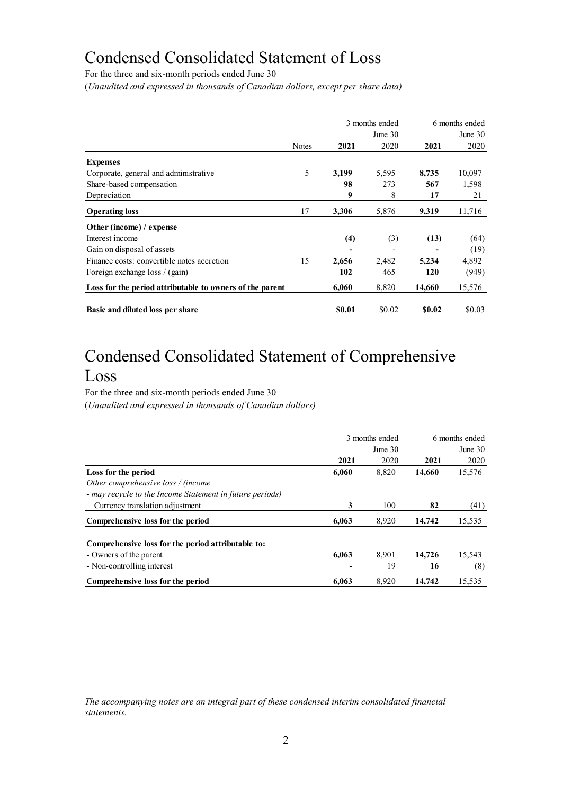# Condensed Consolidated Statement of Loss

For the three and six-month periods ended June 30

(*Unaudited and expressed in thousands of Canadian dollars, except per share data)*

|                                                          |              | 3 months ended |           | 6 months ended |           |
|----------------------------------------------------------|--------------|----------------|-----------|----------------|-----------|
|                                                          |              |                | June $30$ |                | June $30$ |
|                                                          | <b>Notes</b> | 2021           | 2020      | 2021           | 2020      |
| <b>Expenses</b>                                          |              |                |           |                |           |
| Corporate, general and administrative                    | 5            | 3,199          | 5,595     | 8,735          | 10,097    |
| Share-based compensation                                 |              | 98             | 273       | 567            | 1,598     |
| Depreciation                                             |              | 9              | 8         | 17             | 21        |
| <b>Operating loss</b>                                    | 17           | 3,306          | 5,876     | 9,319          | 11,716    |
| Other (income) / expense                                 |              |                |           |                |           |
| Interest income                                          |              | (4)            | (3)       | (13)           | (64)      |
| Gain on disposal of assets                               |              | -              |           |                | (19)      |
| Finance costs: convertible notes accretion               | 15           | 2,656          | 2,482     | 5,234          | 4,892     |
| Foreign exchange loss / (gain)                           |              | 102            | 465       | 120            | (949)     |
| Loss for the period attributable to owners of the parent |              | 6,060          | 8,820     | 14,660         | 15,576    |
| Basic and diluted loss per share                         |              | \$0.01         | \$0.02    | \$0.02         | \$0.03    |

# Condensed Consolidated Statement of Comprehensive Loss

For the three and six-month periods ended June 30 (*Unaudited and expressed in thousands of Canadian dollars)*

|                                                          |       | 3 months ended | 6 months ended<br>June $30$ |        |  |
|----------------------------------------------------------|-------|----------------|-----------------------------|--------|--|
|                                                          |       | June $301$     |                             |        |  |
|                                                          | 2021  | 2020           | 2021                        | 2020   |  |
| Loss for the period                                      | 6,060 | 8,820          | 14,660                      | 15,576 |  |
| Other comprehensive loss / (income                       |       |                |                             |        |  |
| - may recycle to the Income Statement in future periods) |       |                |                             |        |  |
| Currency translation adjustment                          | 3     | 100            | 82                          | (41)   |  |
| Comprehensive loss for the period                        | 6.063 | 8,920          | 14,742                      | 15,535 |  |
| Comprehensive loss for the period attributable to:       |       |                |                             |        |  |
| - Owners of the parent                                   | 6,063 | 8.901          | 14,726                      | 15,543 |  |
| - Non-controlling interest                               |       | 19             | 16                          | (8)    |  |
| Comprehensive loss for the period                        | 6.063 | 8.920          | 14,742                      | 15.535 |  |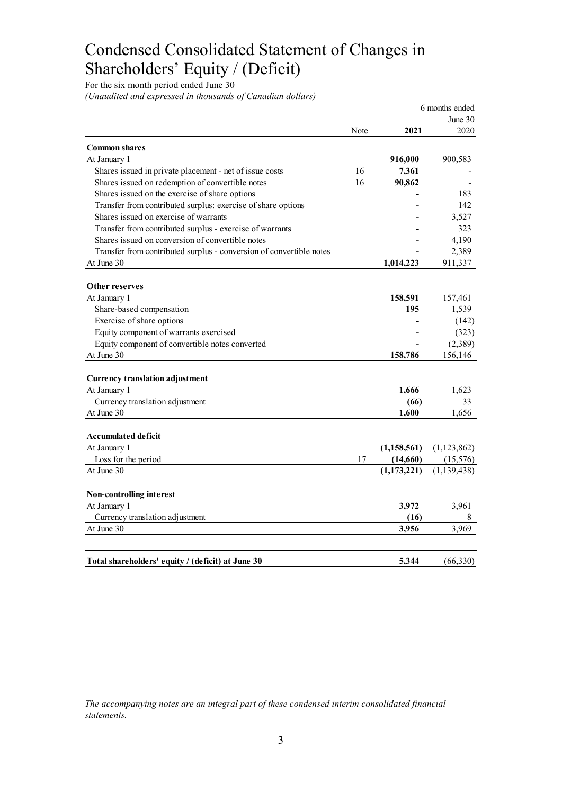# Condensed Consolidated Statement of Changes in Shareholders' Equity / (Deficit)

For the six month period ended June 30

*(Unaudited and expressed in thousands of Canadian dollars)*

|                                                                     |      |               | 6 months ended |
|---------------------------------------------------------------------|------|---------------|----------------|
|                                                                     |      |               | June 30        |
|                                                                     | Note | 2021          | 2020           |
| <b>Common shares</b>                                                |      |               |                |
| At January 1                                                        |      | 916,000       | 900,583        |
| Shares issued in private placement - net of issue costs             | 16   | 7,361         |                |
| Shares issued on redemption of convertible notes                    | 16   | 90,862        |                |
| Shares issued on the exercise of share options                      |      |               | 183            |
| Transfer from contributed surplus: exercise of share options        |      |               | 142            |
| Shares issued on exercise of warrants                               |      |               | 3,527          |
| Transfer from contributed surplus - exercise of warrants            |      |               | 323            |
| Shares issued on conversion of convertible notes                    |      |               | 4,190          |
| Transfer from contributed surplus - conversion of convertible notes |      |               | 2,389          |
| At June 30                                                          |      | 1,014,223     | 911,337        |
|                                                                     |      |               |                |
| Other reserves                                                      |      |               |                |
| At January 1                                                        |      | 158,591       | 157,461        |
| Share-based compensation                                            |      | 195           | 1,539          |
| Exercise of share options                                           |      |               | (142)          |
| Equity component of warrants exercised                              |      |               | (323)          |
| Equity component of convertible notes converted                     |      |               | (2,389)        |
| At June 30                                                          |      | 158,786       | 156,146        |
|                                                                     |      |               |                |
| <b>Currency translation adjustment</b>                              |      |               |                |
| At January 1                                                        |      | 1,666         | 1,623          |
| Currency translation adjustment                                     |      | (66)          | 33             |
| At June 30                                                          |      | 1,600         | 1,656          |
| Accumulated deficit                                                 |      |               |                |
| At January 1                                                        |      | (1, 158, 561) | (1, 123, 862)  |
| Loss for the period                                                 | 17   | (14,660)      | (15, 576)      |
| At June 30                                                          |      | (1, 173, 221) | (1, 139, 438)  |
|                                                                     |      |               |                |
| <b>Non-controlling interest</b>                                     |      |               |                |
| At January 1                                                        |      | 3,972         | 3,961          |
| Currency translation adjustment                                     |      | (16)          | 8              |
| At June 30                                                          |      | 3,956         | 3,969          |
|                                                                     |      |               |                |
| Total shareholders' equity / (deficit) at June 30                   |      | 5.344         | (66,330)       |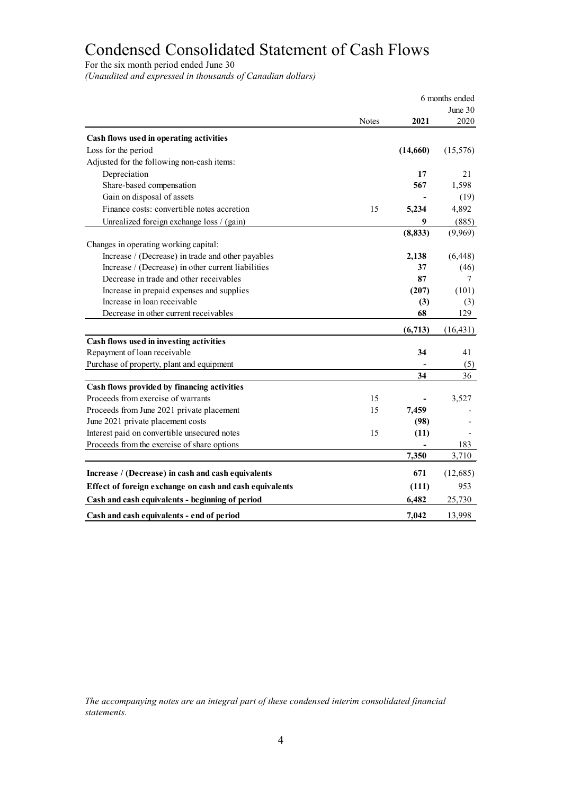# Condensed Consolidated Statement of Cash Flows

For the six month period ended June 30

*(Unaudited and expressed in thousands of Canadian dollars)*

|                                                         | 6 months ended |          |           |
|---------------------------------------------------------|----------------|----------|-----------|
|                                                         |                |          | June $30$ |
|                                                         | <b>Notes</b>   | 2021     | 2020      |
| Cash flows used in operating activities                 |                |          |           |
| Loss for the period                                     |                | (14,660) | (15, 576) |
| Adjusted for the following non-cash items:              |                |          |           |
| Depreciation                                            |                | 17       | 21        |
| Share-based compensation                                |                | 567      | 1,598     |
| Gain on disposal of assets                              |                |          | (19)      |
| Finance costs: convertible notes accretion              | 15             | 5,234    | 4,892     |
| Unrealized foreign exchange loss / (gain)               |                | 9        | (885)     |
|                                                         |                | (8, 833) | (9,969)   |
| Changes in operating working capital:                   |                |          |           |
| Increase / (Decrease) in trade and other payables       |                | 2,138    | (6, 448)  |
| Increase / (Decrease) in other current liabilities      |                | 37       | (46)      |
| Decrease in trade and other receivables                 |                | 87       | 7         |
| Increase in prepaid expenses and supplies               |                | (207)    | (101)     |
| Increase in loan receivable                             |                | (3)      | (3)       |
| Decrease in other current receivables                   |                | 68       | 129       |
|                                                         |                | (6,713)  | (16, 431) |
| Cash flows used in investing activities                 |                |          |           |
| Repayment of loan receivable                            |                | 34       | 41        |
| Purchase of property, plant and equipment               |                |          | (5)       |
|                                                         |                | 34       | 36        |
| Cash flows provided by financing activities             |                |          |           |
| Proceeds from exercise of warrants                      | 15             |          | 3,527     |
| Proceeds from June 2021 private placement               | 15             | 7,459    |           |
| June 2021 private placement costs                       |                | (98)     |           |
| Interest paid on convertible unsecured notes            | 15             | (11)     |           |
| Proceeds from the exercise of share options             |                |          | 183       |
|                                                         |                | 7,350    | 3,710     |
| Increase / (Decrease) in cash and cash equivalents      |                | 671      | (12,685)  |
| Effect of foreign exchange on cash and cash equivalents |                | (111)    | 953       |
| Cash and cash equivalents - beginning of period         |                | 6,482    | 25,730    |
| Cash and cash equivalents - end of period               |                | 7,042    | 13,998    |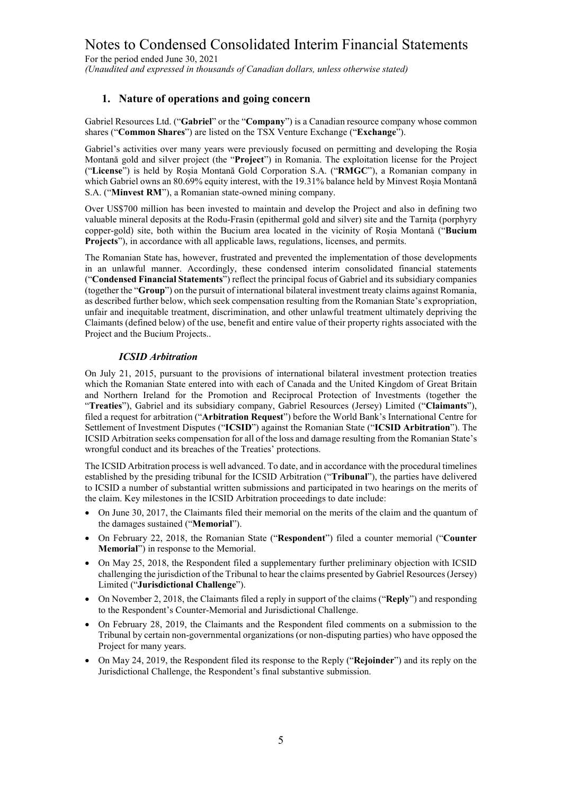For the period ended June 30, 2021

*(Unaudited and expressed in thousands of Canadian dollars, unless otherwise stated)*

#### **1. Nature of operations and going concern**

Gabriel Resources Ltd. ("**Gabriel**" or the "**Company**") is a Canadian resource company whose common shares ("**Common Shares**") are listed on the TSX Venture Exchange ("**Exchange**").

Gabriel's activities over many years were previously focused on permitting and developing the Roșia Montană gold and silver project (the "**Project**") in Romania. The exploitation license for the Project ("**License**") is held by Roșia Montană Gold Corporation S.A. ("**RMGC**"), a Romanian company in which Gabriel owns an 80.69% equity interest, with the 19.31% balance held by Minvest Roșia Montană S.A. ("**Minvest RM**"), a Romanian state-owned mining company.

Over US\$700 million has been invested to maintain and develop the Project and also in defining two valuable mineral deposits at the Rodu-Frasin (epithermal gold and silver) site and the Tarnita (porphyry copper-gold) site, both within the Bucium area located in the vicinity of Roşia Montană ("**Bucium Projects**"), in accordance with all applicable laws, regulations, licenses, and permits.

The Romanian State has, however, frustrated and prevented the implementation of those developments in an unlawful manner. Accordingly, these condensed interim consolidated financial statements ("**Condensed Financial Statements**") reflect the principal focus of Gabriel and its subsidiary companies (together the "**Group**") on the pursuit of international bilateral investment treaty claims against Romania, as described further below, which seek compensation resulting from the Romanian State's expropriation, unfair and inequitable treatment, discrimination, and other unlawful treatment ultimately depriving the Claimants (defined below) of the use, benefit and entire value of their property rights associated with the Project and the Bucium Projects..

#### *ICSID Arbitration*

On July 21, 2015, pursuant to the provisions of international bilateral investment protection treaties which the Romanian State entered into with each of Canada and the United Kingdom of Great Britain and Northern Ireland for the Promotion and Reciprocal Protection of Investments (together the "**Treaties**"), Gabriel and its subsidiary company, Gabriel Resources (Jersey) Limited ("**Claimants**"), filed a request for arbitration ("**Arbitration Request**") before the World Bank's International Centre for Settlement of Investment Disputes ("**ICSID**") against the Romanian State ("**ICSID Arbitration**"). The ICSID Arbitration seeks compensation for all of the loss and damage resulting from the Romanian State's wrongful conduct and its breaches of the Treaties' protections.

The ICSID Arbitration process is well advanced. To date, and in accordance with the procedural timelines established by the presiding tribunal for the ICSID Arbitration ("**Tribunal**"), the parties have delivered to ICSID a number of substantial written submissions and participated in two hearings on the merits of the claim. Key milestones in the ICSID Arbitration proceedings to date include:

- On June 30, 2017, the Claimants filed their memorial on the merits of the claim and the quantum of the damages sustained ("**Memorial**").
- On February 22, 2018, the Romanian State ("**Respondent**") filed a counter memorial ("**Counter Memorial**") in response to the Memorial.
- On May 25, 2018, the Respondent filed a supplementary further preliminary objection with ICSID challenging the jurisdiction of the Tribunal to hear the claims presented by Gabriel Resources (Jersey) Limited ("**Jurisdictional Challenge**").
- On November 2, 2018, the Claimants filed a reply in support of the claims ("**Reply**") and responding to the Respondent's Counter-Memorial and Jurisdictional Challenge.
- On February 28, 2019, the Claimants and the Respondent filed comments on a submission to the Tribunal by certain non-governmental organizations (or non-disputing parties) who have opposed the Project for many years.
- On May 24, 2019, the Respondent filed its response to the Reply ("**Rejoinder**") and its reply on the Jurisdictional Challenge, the Respondent's final substantive submission.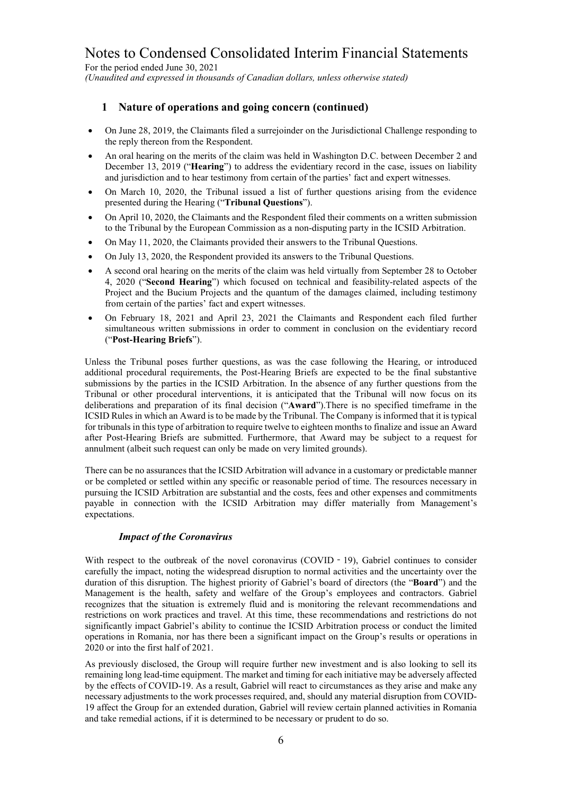For the period ended June 30, 2021 *(Unaudited and expressed in thousands of Canadian dollars, unless otherwise stated)*

# **1 Nature of operations and going concern (continued)**

- On June 28, 2019, the Claimants filed a surrejoinder on the Jurisdictional Challenge responding to the reply thereon from the Respondent.
- An oral hearing on the merits of the claim was held in Washington D.C. between December 2 and December 13, 2019 ("**Hearing**") to address the evidentiary record in the case, issues on liability and jurisdiction and to hear testimony from certain of the parties' fact and expert witnesses.
- On March 10, 2020, the Tribunal issued a list of further questions arising from the evidence presented during the Hearing ("**Tribunal Questions**").
- On April 10, 2020, the Claimants and the Respondent filed their comments on a written submission to the Tribunal by the European Commission as a non-disputing party in the ICSID Arbitration.
- On May 11, 2020, the Claimants provided their answers to the Tribunal Questions.
- On July 13, 2020, the Respondent provided its answers to the Tribunal Questions.
- A second oral hearing on the merits of the claim was held virtually from September 28 to October 4, 2020 ("**Second Hearing**") which focused on technical and feasibility-related aspects of the Project and the Bucium Projects and the quantum of the damages claimed, including testimony from certain of the parties' fact and expert witnesses.
- On February 18, 2021 and April 23, 2021 the Claimants and Respondent each filed further simultaneous written submissions in order to comment in conclusion on the evidentiary record ("**Post-Hearing Briefs**").

Unless the Tribunal poses further questions, as was the case following the Hearing, or introduced additional procedural requirements, the Post-Hearing Briefs are expected to be the final substantive submissions by the parties in the ICSID Arbitration. In the absence of any further questions from the Tribunal or other procedural interventions, it is anticipated that the Tribunal will now focus on its deliberations and preparation of its final decision ("**Award**").There is no specified timeframe in the ICSID Rules in which an Award is to be made by the Tribunal. The Company is informed that it is typical for tribunals in this type of arbitration to require twelve to eighteen months to finalize and issue an Award after Post-Hearing Briefs are submitted. Furthermore, that Award may be subject to a request for annulment (albeit such request can only be made on very limited grounds).

There can be no assurances that the ICSID Arbitration will advance in a customary or predictable manner or be completed or settled within any specific or reasonable period of time. The resources necessary in pursuing the ICSID Arbitration are substantial and the costs, fees and other expenses and commitments payable in connection with the ICSID Arbitration may differ materially from Management's expectations.

#### *Impact of the Coronavirus*

With respect to the outbreak of the novel coronavirus (COVID - 19), Gabriel continues to consider carefully the impact, noting the widespread disruption to normal activities and the uncertainty over the duration of this disruption. The highest priority of Gabriel's board of directors (the "**Board**") and the Management is the health, safety and welfare of the Group's employees and contractors. Gabriel recognizes that the situation is extremely fluid and is monitoring the relevant recommendations and restrictions on work practices and travel. At this time, these recommendations and restrictions do not significantly impact Gabriel's ability to continue the ICSID Arbitration process or conduct the limited operations in Romania, nor has there been a significant impact on the Group's results or operations in 2020 or into the first half of 2021.

As previously disclosed, the Group will require further new investment and is also looking to sell its remaining long lead-time equipment. The market and timing for each initiative may be adversely affected by the effects of COVID-19. As a result, Gabriel will react to circumstances as they arise and make any necessary adjustments to the work processes required, and, should any material disruption from COVID-19 affect the Group for an extended duration, Gabriel will review certain planned activities in Romania and take remedial actions, if it is determined to be necessary or prudent to do so.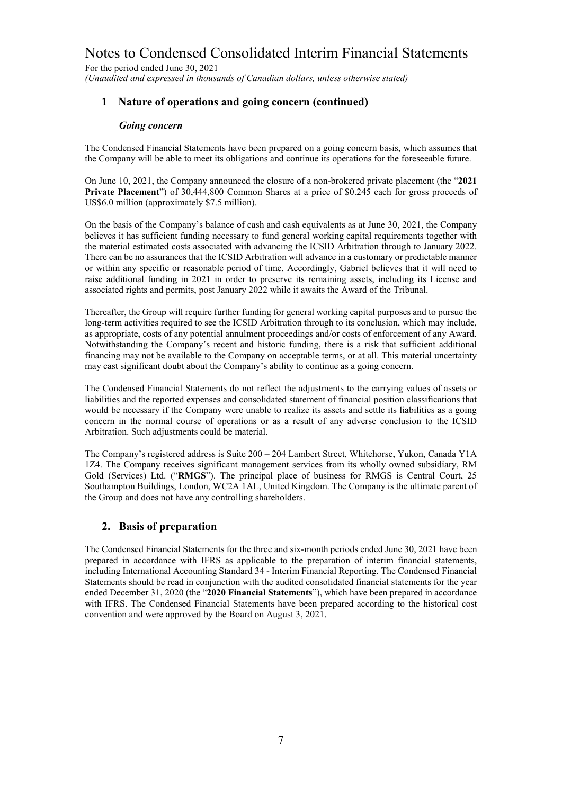For the period ended June 30, 2021 *(Unaudited and expressed in thousands of Canadian dollars, unless otherwise stated)*

# **1 Nature of operations and going concern (continued)**

#### *Going concern*

The Condensed Financial Statements have been prepared on a going concern basis, which assumes that the Company will be able to meet its obligations and continue its operations for the foreseeable future.

On June 10, 2021, the Company announced the closure of a non-brokered private placement (the "**2021 Private Placement**") of 30,444,800 Common Shares at a price of \$0.245 each for gross proceeds of US\$6.0 million (approximately \$7.5 million).

On the basis of the Company's balance of cash and cash equivalents as at June 30, 2021, the Company believes it has sufficient funding necessary to fund general working capital requirements together with the material estimated costs associated with advancing the ICSID Arbitration through to January 2022. There can be no assurances that the ICSID Arbitration will advance in a customary or predictable manner or within any specific or reasonable period of time. Accordingly, Gabriel believes that it will need to raise additional funding in 2021 in order to preserve its remaining assets, including its License and associated rights and permits, post January 2022 while it awaits the Award of the Tribunal.

Thereafter, the Group will require further funding for general working capital purposes and to pursue the long-term activities required to see the ICSID Arbitration through to its conclusion, which may include, as appropriate, costs of any potential annulment proceedings and/or costs of enforcement of any Award. Notwithstanding the Company's recent and historic funding, there is a risk that sufficient additional financing may not be available to the Company on acceptable terms, or at all. This material uncertainty may cast significant doubt about the Company's ability to continue as a going concern.

The Condensed Financial Statements do not reflect the adjustments to the carrying values of assets or liabilities and the reported expenses and consolidated statement of financial position classifications that would be necessary if the Company were unable to realize its assets and settle its liabilities as a going concern in the normal course of operations or as a result of any adverse conclusion to the ICSID Arbitration. Such adjustments could be material.

The Company's registered address is Suite 200 – 204 Lambert Street, Whitehorse, Yukon, Canada Y1A 1Z4. The Company receives significant management services from its wholly owned subsidiary, RM Gold (Services) Ltd. ("**RMGS**"). The principal place of business for RMGS is Central Court, 25 Southampton Buildings, London, WC2A 1AL, United Kingdom. The Company is the ultimate parent of the Group and does not have any controlling shareholders.

### **2. Basis of preparation**

The Condensed Financial Statements for the three and six-month periods ended June 30, 2021 have been prepared in accordance with IFRS as applicable to the preparation of interim financial statements, including International Accounting Standard 34 - Interim Financial Reporting. The Condensed Financial Statements should be read in conjunction with the audited consolidated financial statements for the year ended December 31, 2020 (the "**2020 Financial Statements**"), which have been prepared in accordance with IFRS. The Condensed Financial Statements have been prepared according to the historical cost convention and were approved by the Board on August 3, 2021.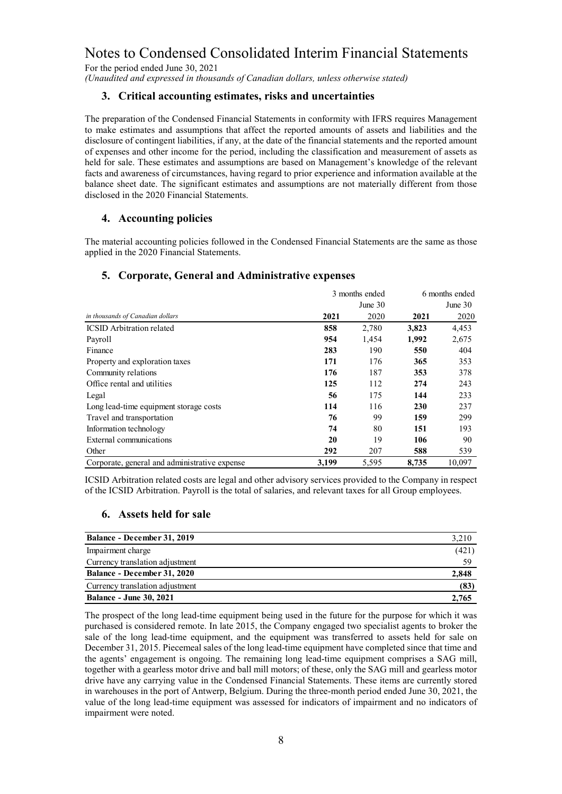For the period ended June 30, 2021

*(Unaudited and expressed in thousands of Canadian dollars, unless otherwise stated)*

#### **3. Critical accounting estimates, risks and uncertainties**

The preparation of the Condensed Financial Statements in conformity with IFRS requires Management to make estimates and assumptions that affect the reported amounts of assets and liabilities and the disclosure of contingent liabilities, if any, at the date of the financial statements and the reported amount of expenses and other income for the period, including the classification and measurement of assets as held for sale. These estimates and assumptions are based on Management's knowledge of the relevant facts and awareness of circumstances, having regard to prior experience and information available at the balance sheet date. The significant estimates and assumptions are not materially different from those disclosed in the 2020 Financial Statements.

# **4. Accounting policies**

The material accounting policies followed in the Condensed Financial Statements are the same as those applied in the 2020 Financial Statements.

### **5. Corporate, General and Administrative expenses**

|                                               | 3 months ended |           | 6 months ended |            |
|-----------------------------------------------|----------------|-----------|----------------|------------|
|                                               |                | June $30$ |                | June $301$ |
| in thousands of Canadian dollars              | 2021           | 2020      | 2021           | 2020       |
| <b>ICSID</b> Arbitration related              | 858            | 2,780     | 3,823          | 4,453      |
| Payroll                                       | 954            | 1,454     | 1,992          | 2,675      |
| Finance                                       | 283            | 190       | 550            | 404        |
| Property and exploration taxes                | 171            | 176       | 365            | 353        |
| Community relations                           | 176            | 187       | 353            | 378        |
| Office rental and utilities                   | 125            | 112       | 274            | 243        |
| Legal                                         | 56             | 175       | 144            | 233        |
| Long lead-time equipment storage costs        | 114            | 116       | 230            | 237        |
| Travel and transportation                     | 76             | 99        | 159            | 299        |
| Information technology                        | 74             | 80        | 151            | 193        |
| External communications                       | 20             | 19        | 106            | 90         |
| Other                                         | 292            | 207       | 588            | 539        |
| Corporate, general and administrative expense | 3.199          | 5,595     | 8.735          | 10.097     |

ICSID Arbitration related costs are legal and other advisory services provided to the Company in respect of the ICSID Arbitration. Payroll is the total of salaries, and relevant taxes for all Group employees.

### **6. Assets held for sale**

| Balance - December 31, 2019        | 3,210 |
|------------------------------------|-------|
| Impairment charge                  | (421) |
| Currency translation adjustment    | 59    |
| <b>Balance - December 31, 2020</b> | 2,848 |
| Currency translation adjustment    | (83)  |
| <b>Balance - June 30, 2021</b>     | 2.765 |

The prospect of the long lead-time equipment being used in the future for the purpose for which it was purchased is considered remote. In late 2015, the Company engaged two specialist agents to broker the sale of the long lead-time equipment, and the equipment was transferred to assets held for sale on December 31, 2015. Piecemeal sales of the long lead-time equipment have completed since that time and the agents' engagement is ongoing. The remaining long lead-time equipment comprises a SAG mill, together with a gearless motor drive and ball mill motors; of these, only the SAG mill and gearless motor drive have any carrying value in the Condensed Financial Statements. These items are currently stored in warehouses in the port of Antwerp, Belgium. During the three-month period ended June 30, 2021, the value of the long lead-time equipment was assessed for indicators of impairment and no indicators of impairment were noted.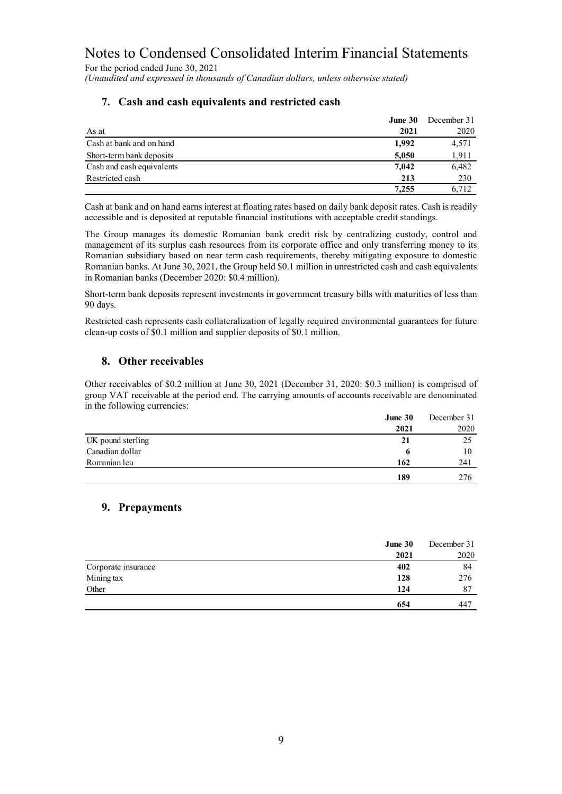For the period ended June 30, 2021 *(Unaudited and expressed in thousands of Canadian dollars, unless otherwise stated)*

| June 30                            | December 31 |
|------------------------------------|-------------|
| 2021<br>As at                      | 2020        |
| Cash at bank and on hand<br>1,992  | 4,571       |
| Short-term bank deposits<br>5,050  | 1,911       |
| Cash and cash equivalents<br>7,042 | 6,482       |
| Restricted cash<br>213             | 230         |
| 7.255                              | 6.712       |

# **7. Cash and cash equivalents and restricted cash**

Cash at bank and on hand earns interest at floating rates based on daily bank deposit rates. Cash is readily accessible and is deposited at reputable financial institutions with acceptable credit standings.

The Group manages its domestic Romanian bank credit risk by centralizing custody, control and management of its surplus cash resources from its corporate office and only transferring money to its Romanian subsidiary based on near term cash requirements, thereby mitigating exposure to domestic Romanian banks. At June 30, 2021, the Group held \$0.1 million in unrestricted cash and cash equivalents in Romanian banks (December 2020: \$0.4 million).

Short-term bank deposits represent investments in government treasury bills with maturities of less than 90 days.

Restricted cash represents cash collateralization of legally required environmental guarantees for future clean-up costs of \$0.1 million and supplier deposits of \$0.1 million.

# **8. Other receivables**

Other receivables of \$0.2 million at June 30, 2021 (December 31, 2020: \$0.3 million) is comprised of group VAT receivable at the period end. The carrying amounts of accounts receivable are denominated in the following currencies:

|                   | June 30 | December 31 |
|-------------------|---------|-------------|
|                   | 2021    | 2020        |
| UK pound sterling | 21      | 25          |
| Canadian dollar   | o       | 10          |
| Romanian leu      | 162     | 241         |
|                   | 189     | 276         |

# **9. Prepayments**

|                     | June 30 | December 31 |
|---------------------|---------|-------------|
|                     | 2021    | 2020        |
| Corporate insurance | 402     | 84          |
| Mining tax          | 128     | 276         |
| Other               | 124     | 87          |
|                     | 654     | 447         |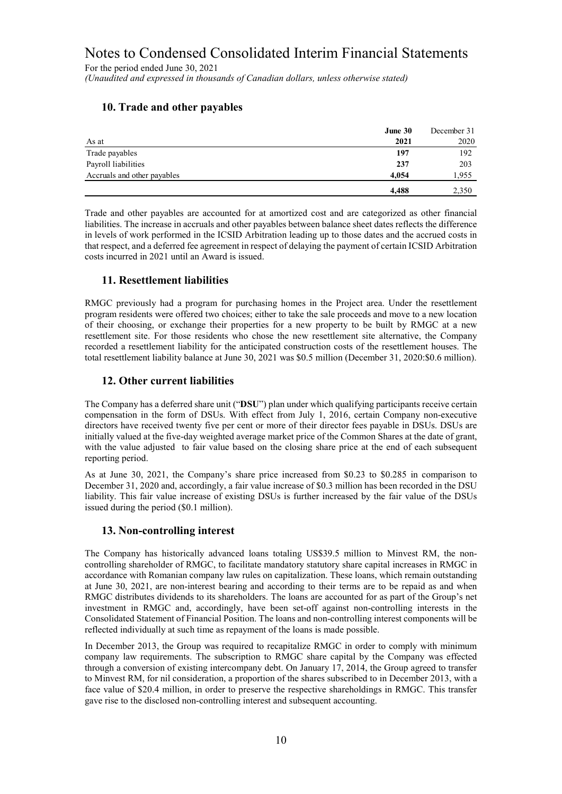For the period ended June 30, 2021 *(Unaudited and expressed in thousands of Canadian dollars, unless otherwise stated)*

# **10. Trade and other payables**

|                             | June 30 | December 31 |
|-----------------------------|---------|-------------|
| As at                       | 2021    | 2020        |
| Trade payables              | 197     | 192         |
| Payroll liabilities         | 237     | 203         |
| Accruals and other payables | 4.054   | 1,955       |
|                             | 4.488   | 2,350       |

Trade and other payables are accounted for at amortized cost and are categorized as other financial liabilities. The increase in accruals and other payables between balance sheet dates reflects the difference in levels of work performed in the ICSID Arbitration leading up to those dates and the accrued costs in that respect, and a deferred fee agreement in respect of delaying the payment of certain ICSID Arbitration costs incurred in 2021 until an Award is issued.

# **11. Resettlement liabilities**

RMGC previously had a program for purchasing homes in the Project area. Under the resettlement program residents were offered two choices; either to take the sale proceeds and move to a new location of their choosing, or exchange their properties for a new property to be built by RMGC at a new resettlement site. For those residents who chose the new resettlement site alternative, the Company recorded a resettlement liability for the anticipated construction costs of the resettlement houses. The total resettlement liability balance at June 30, 2021 was \$0.5 million (December 31, 2020:\$0.6 million).

# **12. Other current liabilities**

The Company has a deferred share unit ("**DSU**") plan under which qualifying participants receive certain compensation in the form of DSUs. With effect from July 1, 2016, certain Company non-executive directors have received twenty five per cent or more of their director fees payable in DSUs. DSUs are initially valued at the five-day weighted average market price of the Common Shares at the date of grant, with the value adjusted to fair value based on the closing share price at the end of each subsequent reporting period.

As at June 30, 2021, the Company's share price increased from \$0.23 to \$0.285 in comparison to December 31, 2020 and, accordingly, a fair value increase of \$0.3 million has been recorded in the DSU liability. This fair value increase of existing DSUs is further increased by the fair value of the DSUs issued during the period (\$0.1 million).

### **13. Non-controlling interest**

The Company has historically advanced loans totaling US\$39.5 million to Minvest RM, the noncontrolling shareholder of RMGC, to facilitate mandatory statutory share capital increases in RMGC in accordance with Romanian company law rules on capitalization. These loans, which remain outstanding at June 30, 2021, are non-interest bearing and according to their terms are to be repaid as and when RMGC distributes dividends to its shareholders. The loans are accounted for as part of the Group's net investment in RMGC and, accordingly, have been set-off against non-controlling interests in the Consolidated Statement of Financial Position. The loans and non-controlling interest components will be reflected individually at such time as repayment of the loans is made possible.

In December 2013, the Group was required to recapitalize RMGC in order to comply with minimum company law requirements. The subscription to RMGC share capital by the Company was effected through a conversion of existing intercompany debt. On January 17, 2014, the Group agreed to transfer to Minvest RM, for nil consideration, a proportion of the shares subscribed to in December 2013, with a face value of \$20.4 million, in order to preserve the respective shareholdings in RMGC. This transfer gave rise to the disclosed non-controlling interest and subsequent accounting.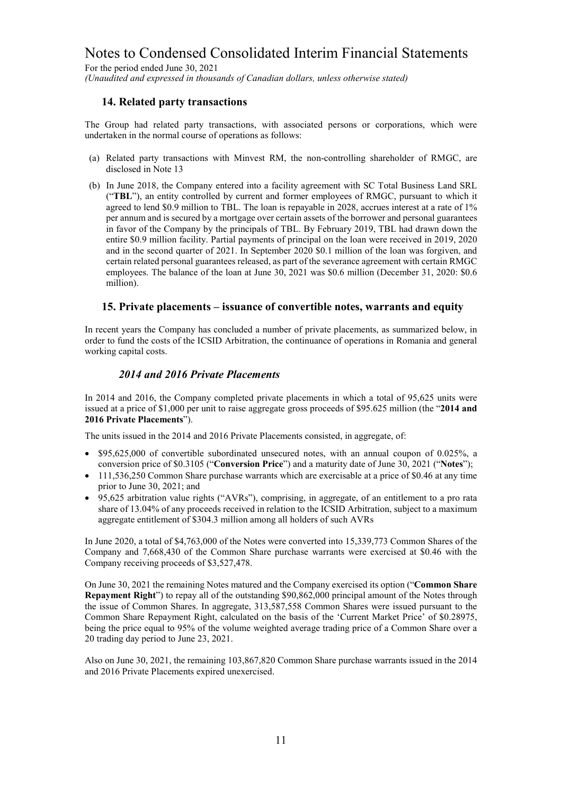For the period ended June 30, 2021 *(Unaudited and expressed in thousands of Canadian dollars, unless otherwise stated)*

## **14. Related party transactions**

The Group had related party transactions, with associated persons or corporations, which were undertaken in the normal course of operations as follows:

- (a) Related party transactions with Minvest RM, the non-controlling shareholder of RMGC, are disclosed in Note 13
- (b) In June 2018, the Company entered into a facility agreement with SC Total Business Land SRL ("**TBL**"), an entity controlled by current and former employees of RMGC, pursuant to which it agreed to lend \$0.9 million to TBL. The loan is repayable in 2028, accrues interest at a rate of 1% per annum and is secured by a mortgage over certain assets of the borrower and personal guarantees in favor of the Company by the principals of TBL. By February 2019, TBL had drawn down the entire \$0.9 million facility. Partial payments of principal on the loan were received in 2019, 2020 and in the second quarter of 2021. In September 2020 \$0.1 million of the loan was forgiven, and certain related personal guarantees released, as part of the severance agreement with certain RMGC employees. The balance of the loan at June 30, 2021 was \$0.6 million (December 31, 2020: \$0.6 million).

#### **15. Private placements – issuance of convertible notes, warrants and equity**

In recent years the Company has concluded a number of private placements, as summarized below, in order to fund the costs of the ICSID Arbitration, the continuance of operations in Romania and general working capital costs.

### *2014 and 2016 Private Placements*

In 2014 and 2016, the Company completed private placements in which a total of 95,625 units were issued at a price of \$1,000 per unit to raise aggregate gross proceeds of \$95.625 million (the "**2014 and 2016 Private Placements**").

The units issued in the 2014 and 2016 Private Placements consisted, in aggregate, of:

- \$95,625,000 of convertible subordinated unsecured notes, with an annual coupon of 0.025%, a conversion price of \$0.3105 ("**Conversion Price**") and a maturity date of June 30, 2021 ("**Notes**");
- 111,536,250 Common Share purchase warrants which are exercisable at a price of \$0.46 at any time prior to June 30, 2021; and
- 95,625 arbitration value rights ("AVRs"), comprising, in aggregate, of an entitlement to a pro rata share of 13.04% of any proceeds received in relation to the ICSID Arbitration, subject to a maximum aggregate entitlement of \$304.3 million among all holders of such AVRs

In June 2020, a total of \$4,763,000 of the Notes were converted into 15,339,773 Common Shares of the Company and 7,668,430 of the Common Share purchase warrants were exercised at \$0.46 with the Company receiving proceeds of \$3,527,478.

On June 30, 2021 the remaining Notes matured and the Company exercised its option ("**Common Share Repayment Right**") to repay all of the outstanding \$90,862,000 principal amount of the Notes through the issue of Common Shares. In aggregate, 313,587,558 Common Shares were issued pursuant to the Common Share Repayment Right, calculated on the basis of the 'Current Market Price' of \$0.28975, being the price equal to 95% of the volume weighted average trading price of a Common Share over a 20 trading day period to June 23, 2021.

Also on June 30, 2021, the remaining 103,867,820 Common Share purchase warrants issued in the 2014 and 2016 Private Placements expired unexercised.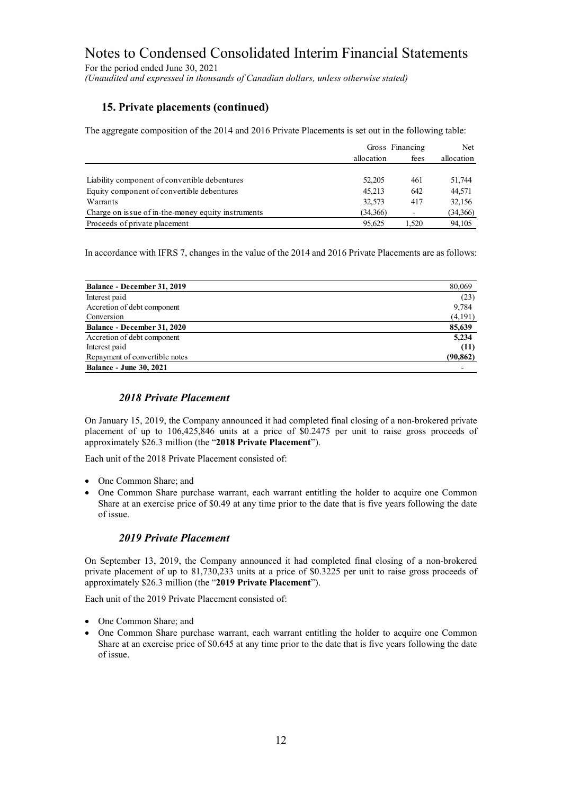For the period ended June 30, 2021 *(Unaudited and expressed in thousands of Canadian dollars, unless otherwise stated)*

# **15. Private placements (continued)**

The aggregate composition of the 2014 and 2016 Private Placements is set out in the following table:

|                                                    | Gross Financing |       | Net        |
|----------------------------------------------------|-----------------|-------|------------|
|                                                    | allocation      | fees  | allocation |
|                                                    |                 |       |            |
| Liability component of convertible debentures      | 52,205          | 461   | 51,744     |
| Equity component of convertible debentures         | 45.213          | 642   | 44,571     |
| Warrants                                           | 32,573          | 417   | 32,156     |
| Charge on issue of in-the-money equity instruments | (34,366)        |       | (34,366)   |
| Proceeds of private placement                      | 95.625          | 1.520 | 94.105     |

In accordance with IFRS 7, changes in the value of the 2014 and 2016 Private Placements are as follows:

| Balance - December 31, 2019    | 80,069    |
|--------------------------------|-----------|
| Interest paid                  | (23)      |
| Accretion of debt component    | 9,784     |
| Conversion                     | (4,191)   |
| Balance - December 31, 2020    | 85,639    |
| Accretion of debt component    | 5,234     |
| Interest paid                  | (11)      |
| Repayment of convertible notes | (90, 862) |
| <b>Balance - June 30, 2021</b> |           |

# *2018 Private Placement*

On January 15, 2019, the Company announced it had completed final closing of a non-brokered private placement of up to 106,425,846 units at a price of \$0.2475 per unit to raise gross proceeds of approximately \$26.3 million (the "**2018 Private Placement**").

Each unit of the 2018 Private Placement consisted of:

- One Common Share; and
- One Common Share purchase warrant, each warrant entitling the holder to acquire one Common Share at an exercise price of \$0.49 at any time prior to the date that is five years following the date of issue.

### *2019 Private Placement*

On September 13, 2019, the Company announced it had completed final closing of a non-brokered private placement of up to 81,730,233 units at a price of \$0.3225 per unit to raise gross proceeds of approximately \$26.3 million (the "**2019 Private Placement**").

Each unit of the 2019 Private Placement consisted of:

- One Common Share; and
- One Common Share purchase warrant, each warrant entitling the holder to acquire one Common Share at an exercise price of \$0.645 at any time prior to the date that is five years following the date of issue.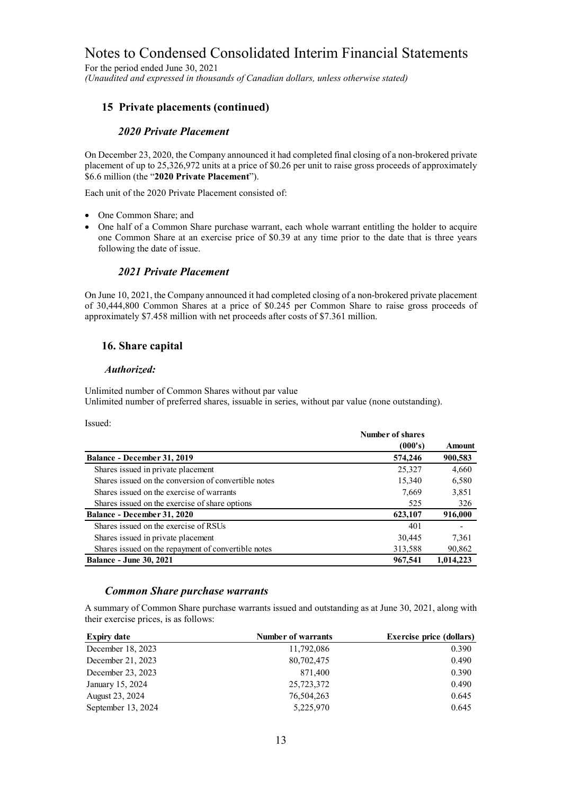For the period ended June 30, 2021 *(Unaudited and expressed in thousands of Canadian dollars, unless otherwise stated)*

# **15 Private placements (continued)**

#### *2020 Private Placement*

On December 23, 2020, the Company announced it had completed final closing of a non-brokered private placement of up to 25,326,972 units at a price of \$0.26 per unit to raise gross proceeds of approximately \$6.6 million (the "**2020 Private Placement**").

Each unit of the 2020 Private Placement consisted of:

- One Common Share; and
- One half of a Common Share purchase warrant, each whole warrant entitling the holder to acquire one Common Share at an exercise price of \$0.39 at any time prior to the date that is three years following the date of issue.

### *2021 Private Placement*

On June 10, 2021, the Company announced it had completed closing of a non-brokered private placement of 30,444,800 Common Shares at a price of \$0.245 per Common Share to raise gross proceeds of approximately \$7.458 million with net proceeds after costs of \$7.361 million.

# **16. Share capital**

#### *Authorized:*

Unlimited number of Common Shares without par value Unlimited number of preferred shares, issuable in series, without par value (none outstanding).

Issued:

|                                                      | Number of shares |           |
|------------------------------------------------------|------------------|-----------|
|                                                      | (000's)          | Amount    |
| Balance - December 31, 2019                          | 574,246          | 900,583   |
| Shares issued in private placement                   | 25,327           | 4,660     |
| Shares issued on the conversion of convertible notes | 15,340           | 6,580     |
| Shares issued on the exercise of warrants            | 7.669            | 3,851     |
| Shares issued on the exercise of share options       | 525              | 326       |
| Balance - December 31, 2020                          | 623,107          | 916,000   |
| Shares issued on the exercise of RSUs                | 401              |           |
| Shares issued in private placement                   | 30,445           | 7,361     |
| Shares issued on the repayment of convertible notes  | 313,588          | 90,862    |
| <b>Balance - June 30, 2021</b>                       | 967,541          | 1.014.223 |

#### *Common Share purchase warrants*

A summary of Common Share purchase warrants issued and outstanding as at June 30, 2021, along with their exercise prices, is as follows:

| <b>Expiry date</b> | <b>Number of warrants</b> | <b>Exercise price (dollars)</b> |
|--------------------|---------------------------|---------------------------------|
| December 18, 2023  | 11,792,086                | 0.390                           |
| December 21, 2023  | 80,702,475                | 0.490                           |
| December 23, 2023  | 871,400                   | 0.390                           |
| January 15, 2024   | 25,723,372                | 0.490                           |
| August 23, 2024    | 76,504,263                | 0.645                           |
| September 13, 2024 | 5,225,970                 | 0.645                           |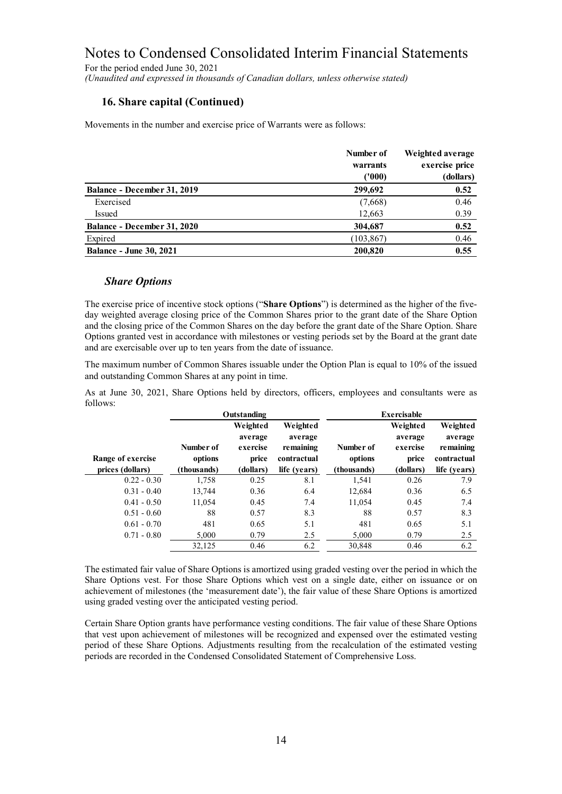For the period ended June 30, 2021 *(Unaudited and expressed in thousands of Canadian dollars, unless otherwise stated)*

# **16. Share capital (Continued)**

Movements in the number and exercise price of Warrants were as follows:

|                                    | Number of<br>warrants | Weighted average<br>exercise price |  |
|------------------------------------|-----------------------|------------------------------------|--|
|                                    | (1000)                | (dollars)                          |  |
| Balance - December 31, 2019        | 299,692               | 0.52                               |  |
| Exercised                          | (7,668)               | 0.46                               |  |
| Issued                             | 12,663                | 0.39                               |  |
| <b>Balance - December 31, 2020</b> | 304,687               | 0.52                               |  |
| Expired                            | (103, 867)            | 0.46                               |  |
| <b>Balance - June 30, 2021</b>     | 200,820               | 0.55                               |  |

### *Share Options*

The exercise price of incentive stock options ("**Share Options**") is determined as the higher of the fiveday weighted average closing price of the Common Shares prior to the grant date of the Share Option and the closing price of the Common Shares on the day before the grant date of the Share Option. Share Options granted vest in accordance with milestones or vesting periods set by the Board at the grant date and are exercisable over up to ten years from the date of issuance.

The maximum number of Common Shares issuable under the Option Plan is equal to 10% of the issued and outstanding Common Shares at any point in time.

As at June 30, 2021, Share Options held by directors, officers, employees and consultants were as follows:

|                                       |                                     | Outstanding                                           |                                                                 |                                     | <b>Exercisable</b>                                    |                                                                 |
|---------------------------------------|-------------------------------------|-------------------------------------------------------|-----------------------------------------------------------------|-------------------------------------|-------------------------------------------------------|-----------------------------------------------------------------|
| Range of exercise<br>prices (dollars) | Number of<br>options<br>(thousands) | Weighted<br>average<br>exercise<br>price<br>(dollars) | Weighted<br>average<br>remaining<br>contractual<br>life (years) | Number of<br>options<br>(thousands) | Weighted<br>average<br>exercise<br>price<br>(dollars) | Weighted<br>average<br>remaining<br>contractual<br>life (years) |
| $0.22 - 0.30$                         | 1,758                               | 0.25                                                  | 8.1                                                             | 1.541                               | 0.26                                                  | 7.9                                                             |
| $0.31 - 0.40$                         | 13.744                              | 0.36                                                  | 6.4                                                             | 12,684                              | 0.36                                                  | 6.5                                                             |
| $0.41 - 0.50$                         | 11,054                              | 0.45                                                  | 7.4                                                             | 11,054                              | 0.45                                                  | 7.4                                                             |
| $0.51 - 0.60$                         | 88                                  | 0.57                                                  | 8.3                                                             | 88                                  | 0.57                                                  | 8.3                                                             |
| $0.61 - 0.70$                         | 481                                 | 0.65                                                  | 5.1                                                             | 481                                 | 0.65                                                  | 5.1                                                             |
| $0.71 - 0.80$                         | 5,000                               | 0.79                                                  | 2.5                                                             | 5,000                               | 0.79                                                  | 2.5                                                             |
|                                       | 32,125                              | 0.46                                                  | 6.2                                                             | 30,848                              | 0.46                                                  | 6.2                                                             |

The estimated fair value of Share Options is amortized using graded vesting over the period in which the Share Options vest. For those Share Options which vest on a single date, either on issuance or on achievement of milestones (the 'measurement date'), the fair value of these Share Options is amortized using graded vesting over the anticipated vesting period.

Certain Share Option grants have performance vesting conditions. The fair value of these Share Options that vest upon achievement of milestones will be recognized and expensed over the estimated vesting period of these Share Options. Adjustments resulting from the recalculation of the estimated vesting periods are recorded in the Condensed Consolidated Statement of Comprehensive Loss.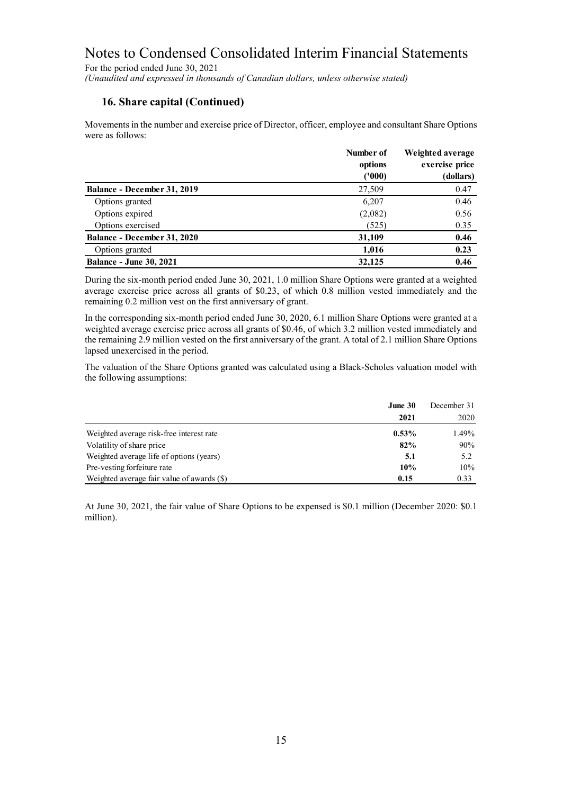For the period ended June 30, 2021 *(Unaudited and expressed in thousands of Canadian dollars, unless otherwise stated)*

# **16. Share capital (Continued)**

Movements in the number and exercise price of Director, officer, employee and consultant Share Options were as follows:

|                                | Number of<br>options<br>('000) | Weighted average<br>exercise price<br>(dollars) |
|--------------------------------|--------------------------------|-------------------------------------------------|
| Balance - December 31, 2019    | 27,509                         | 0.47                                            |
| Options granted                | 6,207                          | 0.46                                            |
| Options expired                | (2,082)                        | 0.56                                            |
| Options exercised              | (525)                          | 0.35                                            |
| Balance - December 31, 2020    | 31,109                         | 0.46                                            |
| Options granted                | 1,016                          | 0.23                                            |
| <b>Balance - June 30, 2021</b> | 32,125                         | 0.46                                            |

During the six-month period ended June 30, 2021, 1.0 million Share Options were granted at a weighted average exercise price across all grants of \$0.23, of which 0.8 million vested immediately and the remaining 0.2 million vest on the first anniversary of grant.

In the corresponding six-month period ended June 30, 2020, 6.1 million Share Options were granted at a weighted average exercise price across all grants of \$0.46, of which 3.2 million vested immediately and the remaining 2.9 million vested on the first anniversary of the grant. A total of 2.1 million Share Options lapsed unexercised in the period.

The valuation of the Share Options granted was calculated using a Black-Scholes valuation model with the following assumptions:

|                                            | June 30  | December 31 |  |
|--------------------------------------------|----------|-------------|--|
|                                            | 2021     | 2020        |  |
| Weighted average risk-free interest rate   | $0.53\%$ | 1.49%       |  |
| Volatility of share price                  | 82%      | 90%         |  |
| Weighted average life of options (years)   | 5.1      | 5.2         |  |
| Pre-vesting forfeiture rate                | 10%      | 10%         |  |
| Weighted average fair value of awards (\$) | 0.15     | 0.33        |  |

At June 30, 2021, the fair value of Share Options to be expensed is \$0.1 million (December 2020: \$0.1 million).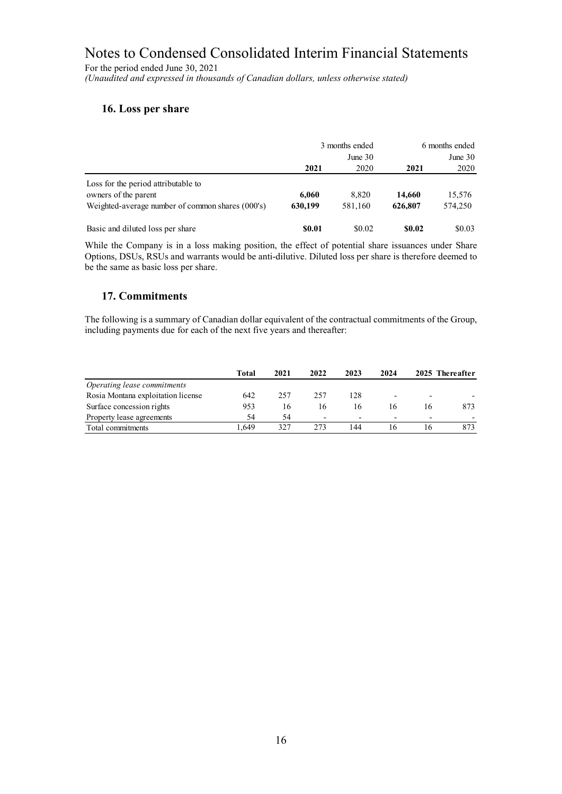For the period ended June 30, 2021 *(Unaudited and expressed in thousands of Canadian dollars, unless otherwise stated)*

# **16. Loss per share**

|                                                  |              | 3 months ended | 6 months ended |           |  |
|--------------------------------------------------|--------------|----------------|----------------|-----------|--|
|                                                  |              | June $30$      |                | June $30$ |  |
|                                                  | 2021         | 2020           | 2021           | 2020      |  |
| Loss for the period attributable to              |              |                |                |           |  |
| owners of the parent                             | 6,060        | 8.820          | 14,660         | 15,576    |  |
| Weighted-average number of common shares (000's) | 630,199      | 581,160        | 626,807        | 574,250   |  |
| Basic and diluted loss per share                 | <b>SO.01</b> | \$0.02         | \$0.02         | \$0.03    |  |

While the Company is in a loss making position, the effect of potential share issuances under Share Options, DSUs, RSUs and warrants would be anti-dilutive. Diluted loss per share is therefore deemed to be the same as basic loss per share.

# **17. Commitments**

The following is a summary of Canadian dollar equivalent of the contractual commitments of the Group, including payments due for each of the next five years and thereafter:

|                                    | Total | 2021 | 2022                     | 2023                     | 2024                     |                          | 2025 Thereafter |
|------------------------------------|-------|------|--------------------------|--------------------------|--------------------------|--------------------------|-----------------|
| Operating lease commitments        |       |      |                          |                          |                          |                          |                 |
| Rosia Montana exploitation license | 642   | 257  | 257                      | 128                      |                          |                          |                 |
| Surface concession rights          | 953   | 16   | 16                       | 16                       |                          | I6                       | 873             |
| Property lease agreements          | 54    | 54   | $\overline{\phantom{a}}$ | $\overline{\phantom{0}}$ | $\overline{\phantom{0}}$ | $\overline{\phantom{0}}$ |                 |
| Total commitments                  | .649  | 327  | 273                      | 144                      |                          |                          | 873             |